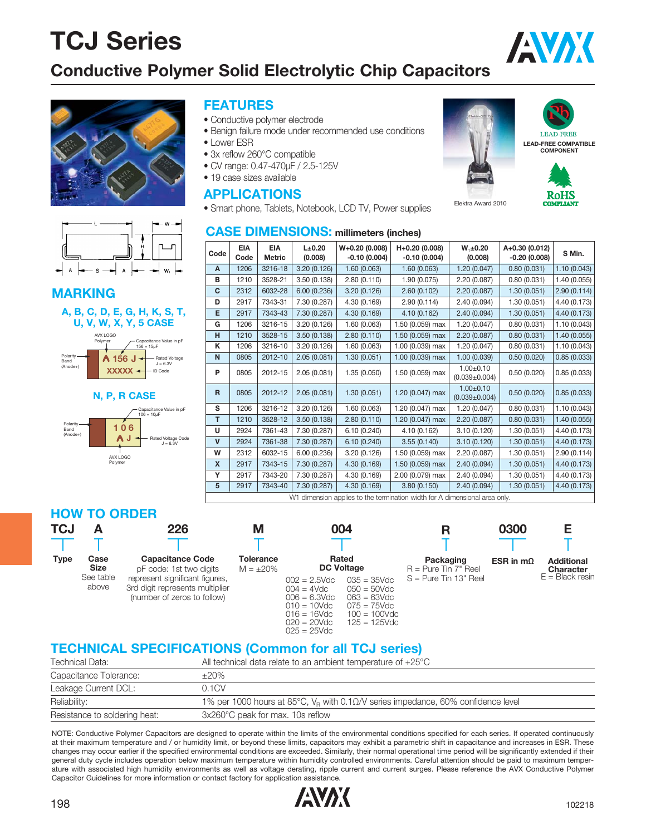### **Conductive Polymer Solid Electrolytic Chip Capacitors**





#### **MARKING**





#### **N, P, R CASE**



#### **FEATURES**

- Conductive polymer electrode
- Benign failure mode under recommended use conditions
- Lower FSR
- 3x reflow 260°C compatible
- CV range: 0.47-470μF / 2.5-125V
- 19 case sizes available

#### **APPLICATIONS**

• Smart phone, Tablets, Notebook, LCD TV, Power supplies

#### **CASE DIMENSIONS: millimeters (inches)**

|              | $W+0.20(0.008)$<br><b>EIA</b><br>L±0.20<br>H+0.20 (0.008)<br>$W_1 \pm 0.20$<br>A+0.30 (0.012)<br><b>EIA</b> |               |              |                |                                                                            |                                        |                |              |  |  |  |
|--------------|-------------------------------------------------------------------------------------------------------------|---------------|--------------|----------------|----------------------------------------------------------------------------|----------------------------------------|----------------|--------------|--|--|--|
| Code         | Code                                                                                                        | <b>Metric</b> | (0.008)      | $-0.10(0.004)$ | $-0.10(0.004)$                                                             | (0.008)                                | $-0.20(0.008)$ | S Min.       |  |  |  |
| A            | 1206                                                                                                        | 3216-18       | 3.20(0.126)  | 1.60(0.063)    | 1.60(0.063)                                                                | 1.20(0.047)                            | 0.80(0.031)    | 1.10(0.043)  |  |  |  |
| в            | 1210                                                                                                        | 3528-21       | 3.50(0.138)  | 2.80(0.110)    | 1.90(0.075)                                                                | 2.20 (0.087)                           | 0.80(0.031)    | 1.40 (0.055) |  |  |  |
| C            | 2312                                                                                                        | 6032-28       | 6.00(0.236)  | 3.20(0.126)    | 2.60(0.102)                                                                | 2.20 (0.087)                           | 1.30(0.051)    | 2.90(0.114)  |  |  |  |
| D            | 2917                                                                                                        | 7343-31       | 7.30 (0.287) | 4.30 (0.169)   | 2.90(0.114)                                                                | 2.40 (0.094)                           | 1.30(0.051)    | 4.40 (0.173) |  |  |  |
| Е            | 2917                                                                                                        | 7343-43       | 7.30 (0.287) | 4.30 (0.169)   | 4.10 (0.162)                                                               | 2.40 (0.094)                           | 1.30(0.051)    | 4.40 (0.173) |  |  |  |
| G            | 1206                                                                                                        | 3216-15       | 3.20 (0.126) | 1.60(0.063)    | 1.50 (0.059) max                                                           | 1.20 (0.047)                           | 0.80(0.031)    | 1.10(0.043)  |  |  |  |
| H            | 1210                                                                                                        | 3528-15       | 3.50(0.138)  | 2.80(0.110)    | 1.50 (0.059) max                                                           | 2.20(0.087)                            | 0.80(0.031)    | 1.40(0.055)  |  |  |  |
| K            | 1206                                                                                                        | 3216-10       | 3.20 (0.126) | 1.60 (0.063)   | 1.00 (0.039) max                                                           | 1.20 (0.047)                           | 0.80(0.031)    | 1.10(0.043)  |  |  |  |
| $\mathsf{N}$ | 0805                                                                                                        | 2012-10       | 2.05(0.081)  | 1.30(0.051)    | 1.00 (0.039) max                                                           | 1.00(0.039)                            | 0.50(0.020)    | 0.85(0.033)  |  |  |  |
| P            | 0805                                                                                                        | 2012-15       | 2.05(0.081)  | 1.35(0.050)    | 1.50 (0.059) max                                                           | $1.00 + 0.10$<br>$(0.039 \pm 0.004)$   | 0.50(0.020)    | 0.85(0.033)  |  |  |  |
| $\mathsf{R}$ | 0805                                                                                                        | 2012-12       | 2.05(0.081)  | 1.30(0.051)    | 1.20 (0.047) max                                                           | $1.00 \pm 0.10$<br>$(0.039 \pm 0.004)$ | 0.50(0.020)    | 0.85(0.033)  |  |  |  |
| S            | 1206                                                                                                        | 3216-12       | 3.20 (0.126) | 1.60(0.063)    | 1.20 (0.047) max                                                           | 1.20 (0.047)                           | 0.80(0.031)    | 1.10(0.043)  |  |  |  |
| T.           | 1210                                                                                                        | 3528-12       | 3.50(0.138)  | 2.80(0.110)    | 1.20 (0.047) max                                                           | 2.20 (0.087)                           | 0.80(0.031)    | 1.40(0.055)  |  |  |  |
| U            | 2924                                                                                                        | 7361-43       | 7.30 (0.287) | 6.10(0.240)    | 4.10 (0.162)                                                               | 3.10(0.120)                            | 1.30(0.051)    | 4.40 (0.173) |  |  |  |
| $\mathsf{v}$ | 2924                                                                                                        | 7361-38       | 7.30 (0.287) | 6.10(0.240)    | 3.55(0.140)                                                                | 3.10(0.120)                            | 1.30(0.051)    | 4.40 (0.173) |  |  |  |
| W            | 2312                                                                                                        | 6032-15       | 6.00(0.236)  | 3.20(0.126)    | 1.50 (0.059) max                                                           | 2.20 (0.087)                           | 1.30(0.051)    | 2.90(0.114)  |  |  |  |
| $\mathsf{x}$ | 2917                                                                                                        | 7343-15       | 7.30 (0.287) | 4.30 (0.169)   | 1.50 (0.059) max                                                           | 2.40 (0.094)                           | 1.30(0.051)    | 4.40 (0.173) |  |  |  |
| Y            | 2917                                                                                                        | 7343-20       | 7.30 (0.287) | 4.30 (0.169)   | 2.00 (0.079) max                                                           | 2.40 (0.094)                           | 1.30(0.051)    | 4.40 (0.173) |  |  |  |
| 5            | 2917                                                                                                        | 7343-40       | 7.30 (0.287) | 4.30 (0.169)   | 3.80(0.150)                                                                | 2.40(0.094)                            | 1.30(0.051)    | 4.40 (0.173) |  |  |  |
|              |                                                                                                             |               |              |                | W1 dimension applies to the termination width for A dimensional area only. |                                        |                |              |  |  |  |

#### **HOW TO ORDER**

| TCJ         |                                           | 226                                                                                                                     | Μ                           | 004                                                                                                                                                               |                                                                  | 0300             |                                                     |
|-------------|-------------------------------------------|-------------------------------------------------------------------------------------------------------------------------|-----------------------------|-------------------------------------------------------------------------------------------------------------------------------------------------------------------|------------------------------------------------------------------|------------------|-----------------------------------------------------|
|             |                                           |                                                                                                                         |                             |                                                                                                                                                                   |                                                                  |                  |                                                     |
| <b>Type</b> | Case<br><b>Size</b><br>See table<br>above | <b>Capacitance Code</b><br>pF code: 1st two digits<br>represent significant figures,<br>3rd digit represents multiplier | Tolerance<br>$M = \pm 20\%$ | Rated<br><b>DC Voltage</b><br>$035 = 35 \text{V}$ dc<br>$002 = 2.5$ Vdc<br>$050 = 50$ Vdc<br>$004 = 4Vdc$                                                         | Packaging<br>$R =$ Pure Tin $7"$ Reel<br>$S = Pure$ Tin 13" Reel | ESR in $m\Omega$ | <b>Additional</b><br>Character<br>$E = Black$ resin |
|             |                                           | (number of zeros to follow)                                                                                             |                             | $006 = 6.3$ Vdc<br>$063 = 63$ Vdc<br>$075 = 75$ Vdc<br>$010 = 10$ Vdc<br>$016 = 16$ Vdc<br>$100 = 100$ Vdc<br>$020 = 20$ Vdc<br>$125 = 125$ Vdc<br>$025 = 25$ Vdc |                                                                  |                  |                                                     |

### **TECHNICAL SPECIFICATIONS (Common for all TCJ series)**

| Technical Data:               | All technical data relate to an ambient temperature of $+25^{\circ}$ C                       |
|-------------------------------|----------------------------------------------------------------------------------------------|
| Capacitance Tolerance:        | $\pm 20\%$                                                                                   |
| Leakage Current DCL:          | 0.1CV                                                                                        |
| Reliability:                  | 1% per 1000 hours at 85°C, $V_R$ with 0.1 $\Omega$ /V series impedance, 60% confidence level |
| Resistance to soldering heat: | 3x260°C peak for max. 10s reflow                                                             |

NOTE: Conductive Polymer Capacitors are designed to operate within the limits of the environmental conditions specified for each series. If operated continuously at their maximum temperature and / or humidity limit, or beyond these limits, capacitors may exhibit a parametric shift in capacitance and increases in ESR. These changes may occur earlier if the specified environmental conditions are exceeded. Similarly, their normal operational time period will be significantly extended if their general duty cycle includes operation below maximum temperature within humidity controlled environments. Careful attention should be paid to maximum temperature with associated high humidity environments as well as voltage derating, ripple current and current surges. Please reference the AVX Conductive Polymer Capacitor Guidelines for more information or contact factory for application assistance.







AVX



Elektra Award 2010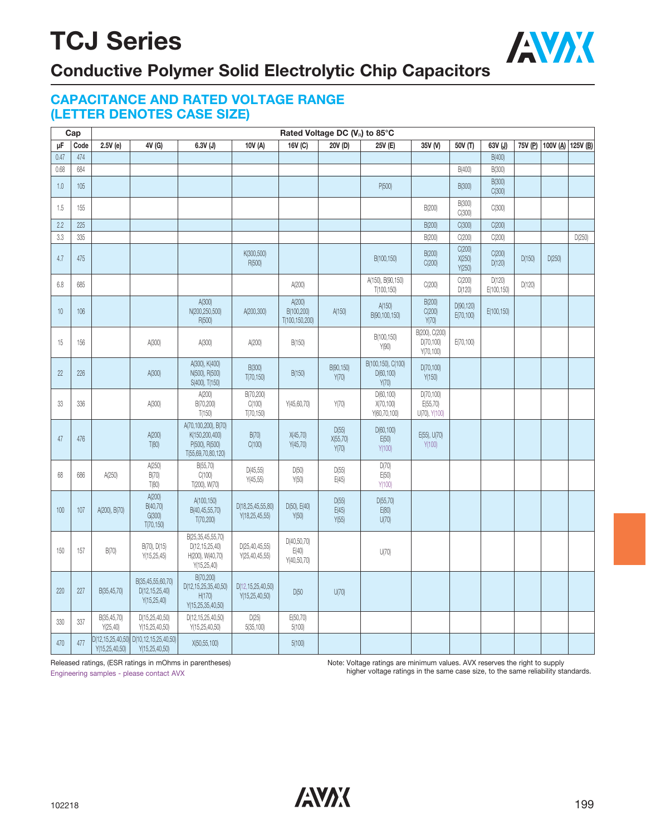

### **Conductive Polymer Solid Electrolytic Chip Capacitors**

### **CAPACITANCE AND RATED VOLTAGE RANGE (LETTER DENOTES CASE SIZE)**

|      | Cap  |                                            |                                                         |                                                                                |                                        |                                        | Rated Voltage DC (V <sub>R</sub> ) to 85°C |                                           |                                            |                            |                      |         |        |                   |
|------|------|--------------------------------------------|---------------------------------------------------------|--------------------------------------------------------------------------------|----------------------------------------|----------------------------------------|--------------------------------------------|-------------------------------------------|--------------------------------------------|----------------------------|----------------------|---------|--------|-------------------|
| μF   | Code | $2.5V$ (e)                                 | 4V (G)                                                  | $6.3V$ (J)                                                                     | 10V (A)                                | 16V (C)                                | 20V (D)                                    | 25V (E)                                   | 35V (V)                                    | 50V (T)                    | 63V (J)              | 75V (P) |        | 100V (A) 125V (B) |
| 0.47 | 474  |                                            |                                                         |                                                                                |                                        |                                        |                                            |                                           |                                            |                            | B(400)               |         |        |                   |
| 0.68 | 684  |                                            |                                                         |                                                                                |                                        |                                        |                                            |                                           |                                            | B(400)                     | B(300)               |         |        |                   |
| 1.0  | 105  |                                            |                                                         |                                                                                |                                        |                                        |                                            | P(500)                                    |                                            | <b>B(300)</b>              | B(300)<br>C(300)     |         |        |                   |
| 1.5  | 155  |                                            |                                                         |                                                                                |                                        |                                        |                                            |                                           | B(200)                                     | B(300)<br>C(300)           | C(300)               |         |        |                   |
| 2.2  | 225  |                                            |                                                         |                                                                                |                                        |                                        |                                            |                                           | B(200)                                     | C(300)                     | C(200)               |         |        |                   |
| 3.3  | 335  |                                            |                                                         |                                                                                |                                        |                                        |                                            |                                           | B(200)                                     | C(200)                     | C(200)               |         |        | D(250)            |
| 4.7  | 475  |                                            |                                                         |                                                                                | K(300,500)<br>R(500)                   |                                        |                                            | B(100,150)                                | B(200)<br>C(200)                           | C(200)<br>X(250)<br>Y(250) | C(200)<br>D(120)     | D(150)  | D(250) |                   |
| 6.8  | 685  |                                            |                                                         |                                                                                |                                        | A(200)                                 |                                            | A(150), B(90,150)<br>T(100, 150)          | C(200)                                     | C(200)<br>D(120)           | D(120)<br>E(100,150) | D(120)  |        |                   |
| 10   | 106  |                                            |                                                         | A(300)<br>N(200,250,500)<br>R(500)                                             | A(200,300)                             | A(200)<br>B(100,200)<br>T(100,150,200) | A(150)                                     | A(150)<br>B(90,100,150)                   | B(200)<br>C(200)<br>Y(70)                  | D(90, 120)<br>E(70, 100)   | E(100,150)           |         |        |                   |
| 15   | 156  |                                            | A(300)                                                  | A(300)                                                                         | A(200)                                 | B(150)                                 |                                            | B(100,150)<br>Y(90)                       | B(200), C(200)<br>D(70, 100)<br>Y(70, 100) | E(70, 100)                 |                      |         |        |                   |
| 22   | 226  |                                            | A(300)                                                  | A(300), K(400)<br>N(500), R(500)<br>S(400), T(150)                             | B(300)<br>T(70, 150)                   | B(150)                                 | B(90,150)<br>Y(70)                         | B(100,150), C(100)<br>D(60, 100)<br>Y(70) | D(70, 100)<br>Y(150)                       |                            |                      |         |        |                   |
| 33   | 336  |                                            | A(300)                                                  | A(200)<br>B(70,200)<br>T(150)                                                  | B(70,200)<br>C(100)<br>T(70, 150)      | Y(45,60,70)                            | Y(70)                                      | D(60, 100)<br>X(70,100)<br>Y(60,70,100)   | D(70, 100)<br>E(55, 70)<br>U(70), Y(100)   |                            |                      |         |        |                   |
| 47   | 476  |                                            | A(200)<br>T(80)                                         | A(70,100,200), B(70)<br>K(150,200,400)<br>P(500), R(500)<br>T(55,69,70,80,120) | B(70)<br>C(100)                        | X(45, 70)<br>Y(45, 70)                 | D(55)<br>X(55, 70)<br>Y(70)                | D(60, 100)<br>E(50)<br>Y(100)             | E(55), U(70)<br>Y(100)                     |                            |                      |         |        |                   |
| 68   | 686  | A(250)                                     | A(250)<br>B(70)<br>T(80)                                | B(55,70)<br>C(100)<br>T(200), W(70)                                            | D(45, 55)<br>Y(45,55)                  | D(50)<br>Y(50)                         | D(55)<br>E(45)                             | D(70)<br>E(50)<br>Y(100)                  |                                            |                            |                      |         |        |                   |
| 100  | 107  | A(200), B(70)                              | A(200)<br>B(40,70)<br>G(300)<br>T(70, 150)              | A(100,150)<br>B(40,45,55,70)<br>T(70, 200)                                     | D(18,25,45,55,80)<br>Y(18, 25, 45, 55) | D(50), E(40)<br>Y(50)                  | $D(55)$<br>E(45)<br>Y(55)                  | D(55, 70)<br>E(80)<br>U(70)               |                                            |                            |                      |         |        |                   |
| 150  | 157  | B(70)                                      | B(70), D(15)<br>Y(15, 25, 45)                           | B(25,35,45,55,70)<br>D(12,15,25,40)<br>H(200), W(40,70)<br>Y(15, 25, 40)       | D(25, 40, 45, 55)<br>Y(25, 40, 45, 55) | D(40, 50, 70)<br>E(40)<br>Y(40,50,70)  |                                            | U(70)                                     |                                            |                            |                      |         |        |                   |
| 220  | 227  | B(35,45,70)                                | B(35,45,55,60,70)<br>D(12, 15, 25, 40)<br>Y(15, 25, 40) | B(70,200)<br>D(12,15,25,35,40,50)<br>H(170)<br>Y(15,25,35,40,50)               | D(12,15,25,40,50)<br>Y(15, 25, 40, 50) | D(50)                                  | U(70)                                      |                                           |                                            |                            |                      |         |        |                   |
| 330  | 337  | B(35,45,70)<br>Y(25, 40)                   | D(15,25,40,50)<br>Y(15,25,40,50)                        | D(12,15,25,40,50)<br>Y(15, 25, 40, 50)                                         | D(25)<br>5(35, 100)                    | E(50, 70)<br>5(100)                    |                                            |                                           |                                            |                            |                      |         |        |                   |
| 470  | 477  | D(12, 15, 25, 40, 50)<br>Y(15, 25, 40, 50) | D(10,12,15,25,40,50)<br>Y(15, 25, 40, 50)               | X(50,55,100)                                                                   |                                        | 5(100)                                 |                                            |                                           |                                            |                            |                      |         |        |                   |

Released ratings, (ESR ratings in mOhms in parentheses) Engineering samples - please contact AVX

Note: Voltage ratings are minimum values. AVX reserves the right to supply higher voltage ratings in the same case size, to the same reliability standards.

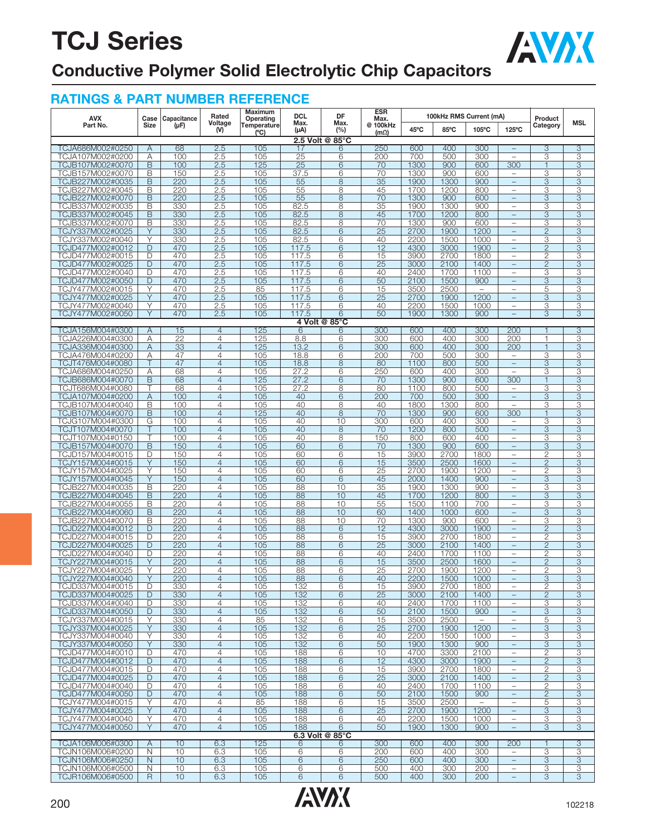

### **Conductive Polymer Solid Electrolytic Chip Capacitors**

| <b>AVX</b>                           | Case           | Capacitance           | Rated                            | Maximum<br>Operating         | <b>DCL</b>        | DF                   | ESR<br>Max.                |              | 100kHz RMS Current (mA) |                                  |                                                      | Product                          |                           |
|--------------------------------------|----------------|-----------------------|----------------------------------|------------------------------|-------------------|----------------------|----------------------------|--------------|-------------------------|----------------------------------|------------------------------------------------------|----------------------------------|---------------------------|
| Part No.                             | Size           | $(\mu F)$             | Voltage<br>(V)                   | Temperature<br>$(^{\circ}C)$ | Max.<br>$(\mu A)$ | Max.<br>(%)          | 100kHz<br>@<br>$(m\Omega)$ | 45°C         | 85°C                    | 105°C                            | 125°C                                                | Category                         | <b>MSL</b>                |
|                                      |                |                       |                                  |                              |                   | 2.5 Volt @ 85°C      |                            |              |                         |                                  |                                                      |                                  |                           |
| TCJA686M002#0250                     | Α<br>Α         | 68<br>100             | 2.5                              | 105<br>105                   | 17<br>25          | 6<br>6               | 250<br>200                 | 600<br>700   | 400<br>500              | 300<br>300                       | $\equiv$<br>$\overline{\phantom{0}}$                 | 3<br>3                           | 3<br>3                    |
| TCJA107M002#0200<br>TCJB107M002#0070 | B              | 100                   | 2.5<br>2.5                       | 125                          | 25                | 6                    | 70                         | 1300         | 900                     | 600                              | 300                                                  | 1                                | 3                         |
| TCJB157M002#0070                     | B              | 150                   | 2.5                              | 105                          | 37.5              | 6                    | 70                         | 1300         | 900                     | 600                              | $\overline{\phantom{0}}$                             | 3                                | 3                         |
| TCJB227M002#0035                     | B              | 220                   | 2.5                              | 105                          | 55                | 8                    | 35                         | 1900         | 1300                    | 900                              | $\qquad \qquad -$                                    | 3                                | 3                         |
| TCJB227M002#0045                     | B              | 220                   | 2.5                              | 105                          | 55                | 8                    | 45                         | 1700         | 1200                    | 800                              |                                                      | 3                                | 3                         |
| TCJB227M002#0070<br>TCJB337M002#0035 | B<br>B         | 220<br>330            | 2.5<br>2.5                       | 105<br>105                   | 55<br>82.5        | 8<br>8               | 70<br>35                   | 1300<br>1900 | 900<br>1300             | 600<br>900                       | $\equiv$<br>$\qquad \qquad -$                        | 3<br>3                           | 3<br>3                    |
| TCJB337M002#0045                     | B              | 330                   | 2.5                              | 105                          | 82.5              | 8                    | 45                         | 1700         | 1200                    | 800                              | $\equiv$                                             | 3                                | 3                         |
| TCJB337M002#0070                     | Β              | 330                   | 2.5                              | 105                          | 82.5              | 8                    | 70                         | 1300         | 900                     | 600                              | $\qquad \qquad -$                                    | 3                                | 3                         |
| TCJY337M002#0025                     | Υ              | 330                   | 2.5                              | 105                          | 82.5              | 6                    | $\overline{25}$            | 2700         | 1900                    | 1200                             | ÷,                                                   | $\overline{2}$                   | 3                         |
| TCJY337M002#0040                     | Υ              | 330                   | 2.5                              | 105                          | 82.5              | 6                    | 40                         | 2200         | 1500                    | 1000                             | $\overline{\phantom{0}}$                             | 3                                | 3                         |
| TCJD477M002#0012<br>TCJD477M002#0015 | D<br>D         | 470<br>470            | 2.5<br>2.5                       | 105<br>105                   | 117.5<br>117.5    | 6<br>6               | 12<br>15                   | 4300<br>3900 | 3000<br>2700            | 1900<br>1800                     | $\qquad \qquad -$<br>÷                               | $\overline{c}$<br>$\overline{2}$ | 3<br>3                    |
| TCJD477M002#0025                     | D              | 470                   | 2.5                              | 105                          | 117.5             | 6                    | 25                         | 3000         | 2100                    | 1400                             | $\equiv$                                             | $\overline{c}$                   | 3                         |
| TCJD477M002#0040                     | D              | 470                   | 2.5                              | 105                          | 117.5             | 6                    | 40                         | 2400         | 1700                    | 1100                             | $\qquad \qquad -$                                    | 3                                | З                         |
| TCJD477M002#0050                     | D              | 470                   | 2.5                              | 105                          | 117.5             | 6                    | 50                         | 2100         | 1500                    | 900                              | $\equiv$                                             | $\overline{\mathbf{3}}$          | $\overline{\overline{3}}$ |
| TCJY477M002#0015                     | Υ<br>Υ         | 470<br>470            | 2.5                              | 85<br>105                    | 117.5<br>117.5    | 6<br>6               | 15                         | 3500<br>2700 | 2500                    | $\overline{\phantom{m}}$<br>1200 | $\overline{\phantom{0}}$<br>L,                       | 5                                | 3                         |
| TCJY477M002#0025<br>TCJY477M002#0040 | Υ              | 470                   | 2.5<br>2.5                       | 105                          | 117.5             | 6                    | 25<br>40                   | 2200         | 1900<br>1500            | 1000                             | $\overline{\phantom{0}}$                             | 3<br>3                           | 3<br>3                    |
| TCJY477M002#0050                     | Y              | 470                   | 2.5                              | 105                          | 117.5             | 6                    | 50                         | 1900         | 1300                    | 900                              | $\overline{\phantom{0}}$                             | 3                                | 3                         |
|                                      |                |                       |                                  |                              |                   | 4 Volt @ 85°C        |                            |              |                         |                                  |                                                      |                                  |                           |
| TCJA156M004#0300                     | A              | 15                    | $\overline{4}$                   | 125                          | 6                 | 6                    | 300                        | 600          | 400                     | 300                              | 200                                                  | 1                                | 3                         |
| TCJA226M004#0300<br>TCJA336M004#0300 | Α<br>Α         | $\overline{22}$<br>33 | $\overline{4}$<br>$\overline{4}$ | 125<br>125                   | 8.8<br>13.2       | 6<br>6               | 300<br>300                 | 600<br>600   | 400<br>400              | 300<br>300                       | 200<br>200                                           | $\mathbf{1}$<br>$\mathbf{1}$     | 3<br>$\overline{3}$       |
| TCJA476M004#0200                     | Α              | 47                    | $\overline{4}$                   | 105                          | 18.8              | 6                    | 200                        | 700          | 500                     | 300                              | $\qquad \qquad -$                                    | 3                                | 3                         |
| TCJT476M004#0080                     | Τ              | 47                    | $\overline{4}$                   | 105                          | 18.8              | 8                    | 80                         | 1100         | 800                     | 500                              | L,                                                   | 3                                | 3                         |
| TCJA686M004#0250                     | Α              | 68                    | $\overline{4}$                   | 105                          | 27.2              | 6                    | 250                        | 600          | 400                     | 300                              | $\overline{\phantom{0}}$                             | 3                                | 3                         |
| TCJB686M004#0070                     | B              | 68                    | $\overline{4}$                   | 125                          | 27.2              | 6                    | 70                         | 1300         | 900                     | 600                              | 300                                                  | $\mathbf{1}$                     | 3                         |
| TCJT686M004#0080<br>TCJA107M004#0200 | Τ<br>Α         | 68<br>100             | $\overline{4}$<br>$\overline{4}$ | 105<br>105                   | 27.2<br>40        | 8<br>6               | 80<br>200                  | 1100<br>700  | 800<br>500              | 500<br>300                       | $\overline{\phantom{0}}$<br>$\overline{\phantom{m}}$ | 3<br>3                           | 3<br>3                    |
| TCJB107M004#0040                     | B              | 100                   | $\overline{4}$                   | 105                          | 40                | 8                    | 40                         | 1800         | 1300                    | 800                              | L,                                                   | 3                                | З                         |
| TCJB107M004#0070                     | $\mathsf B$    | 100                   | $\overline{4}$                   | 125                          | 40                | 8                    | 70                         | 1300         | 900                     | 600                              | 300                                                  | 1                                | 3                         |
| TCJG107M004#0300                     | G              | 100                   | $\overline{4}$                   | 105                          | 40                | 10                   | 300                        | 600          | 400                     | 300                              | $\qquad \qquad -$                                    | 3                                | 3                         |
| TCJT107M004#0070                     | Τ              | 100                   | $\overline{4}$                   | 105                          | 40                | 8                    | 70                         | 1200         | 800                     | 500                              | $\equiv$                                             | 3                                | 3                         |
| TCJT107M004#0150<br>TCJB157M004#0070 | B              | 100<br>150            | $\overline{4}$<br>$\overline{4}$ | 105<br>105                   | 40<br>60          | 8<br>6               | 150<br>70                  | 800<br>1300  | 600<br>900              | 400<br>600                       | $\qquad \qquad -$<br>$\overline{\phantom{0}}$        | 3<br>3                           | 3<br>$\overline{3}$       |
| TCJD157M004#0015                     | D              | 150                   | $\overline{4}$                   | 105                          | 60                | 6                    | 15                         | 3900         | 2700                    | 1800                             | $\overline{\phantom{0}}$                             | $\overline{2}$                   | 3                         |
| TCJY157M004#0015                     | Υ              | 150                   | $\overline{4}$                   | 105                          | 60                | 6                    | 15                         | 3500         | 2500                    | 1600                             | $\overline{\phantom{0}}$                             | $\overline{2}$                   | 3                         |
| TCJY157M004#0025                     | Υ              | 150                   | $\overline{4}$                   | 105                          | 60                | 6                    | 25                         | 2700         | 1900                    | 1200                             | $\equiv$                                             | 2                                | 3                         |
| TCJY157M004#0045                     | Y<br>B         | 150<br>220            | $\overline{4}$<br>$\overline{4}$ | 105<br>105                   | 60                | 6<br>10              | 45<br>35                   | 2000<br>1900 | 1400<br>1300            | 900<br>900                       | $\qquad \qquad -$                                    | 3                                | 3<br>3                    |
| TCJB227M004#0035<br>TCJB227M004#0045 | B              | 220                   | $\overline{4}$                   | 105                          | 88<br>88          | 10                   | 45                         | 1700         | 1200                    | 800                              | $\qquad \qquad -$<br>$\equiv$                        | 3<br>3                           | 3                         |
| TCJB227M004#0055                     | Β              | 220                   | $\overline{4}$                   | 105                          | 88                | 10                   | 55                         | 1500         | 1100                    | 700                              | $\overline{\phantom{0}}$                             | 3                                | 3                         |
| TCJB227M004#0060                     | B              | 220                   | $\overline{4}$                   | 105                          | 88                | 10                   | 60                         | 1400         | 1000                    | 600                              |                                                      | 3                                | 3                         |
| TCJB227M004#0070                     | B              | 220                   | $\overline{4}$                   | 105                          | 88                | 10                   | 70                         | 1300         | 900                     | 600                              | $\overline{\phantom{0}}$                             | 3                                | 3                         |
| TCJD227M004#0012                     | D              | 220                   | $\overline{4}$                   | 105                          | 88                | 6                    | 12                         | 4300         | 3000                    | 1900                             | $\equiv$<br>÷                                        | $\overline{2}$                   | 3                         |
| TCJD227M004#0015<br>TCJD227M004#0025 | D<br>D         | 220<br>220            | $\overline{4}$<br>$\overline{4}$ | 105<br>105                   | 88<br>88          | 6<br>6               | 15<br>25                   | 3900<br>3000 | 2700<br>2100            | 1800<br>1400                     | $\overline{\phantom{0}}$                             | 2<br>$\overline{2}$              | 3<br>3                    |
| TCJD227M004#0040                     | D              | 220                   | $\overline{4}$                   | 105                          | 88                | 6                    | 40                         | 2400         | 1700                    | 1100                             | ÷                                                    | $\overline{c}$                   | 3                         |
| TCJY227M004#0015                     | Y              | 220                   | $\overline{4}$                   | 105                          | 88                | 6                    | 15                         | 3500         | 2500                    | 1600                             | $\equiv$                                             | $\overline{2}$                   | 3                         |
| TCJY227M004#0025                     | Υ              | 220                   | $\overline{4}$                   | 105                          | 88                | 6                    | 25                         | 2700         | 1900                    | 1200                             | -                                                    | 2                                | 3                         |
| TCJY227M004#0040                     | Υ              | 220                   | $\overline{4}$                   | 105                          | 88                | 6                    | 40                         | 2200         | 1500                    | 1000                             |                                                      | 3                                | 3                         |
| TCJD337M004#0015<br>TCJD337M004#0025 | D<br>D         | 330<br>330            | 4<br>$\overline{4}$              | 105<br>105                   | 132<br>132        | 6<br>6               | 15<br>$\overline{25}$      | 3900<br>3000 | 2700<br>2100            | 1800<br>1400                     | $\qquad \qquad -$<br>$\qquad \qquad -$               | $\overline{2}$<br>$\overline{c}$ | 3<br>3                    |
| TCJD337M004#0040                     | D              | 330                   | $\overline{4}$                   | 105                          | 132               | 6                    | 40                         | 2400         | 1700                    | 1100                             | $\overline{\phantom{0}}$                             | 3                                | 3                         |
| TCJD337M004#0050                     | D              | 330                   | $\overline{4}$                   | 105                          | 132               | 6                    | 50                         | 2100         | 1500                    | 900                              | $\overline{\phantom{a}}$                             | 3                                | 3                         |
| TCJY337M004#0015                     | Υ              | 330                   | $\overline{4}$                   | 85                           | 132               | 6                    | 15                         | 3500         | 2500                    |                                  | $\qquad \qquad -$                                    | 5                                | 3                         |
| TCJY337M004#0025<br>TCJY337M004#0040 | Y<br>Ÿ         | 330<br>330            | $\overline{4}$<br>$\overline{4}$ | 105<br>105                   | 132<br>132        | 6<br>6               | 25<br>40                   | 2700<br>2200 | 1900<br>1500            | 1200<br>1000                     | $\qquad \qquad -$<br>$\equiv$                        | 3<br>3                           | 3<br>3                    |
| TCJY337M004#0050                     | Y              | 330                   | $\overline{4}$                   | 105                          | 132               | $6\phantom{.}6$      | 50                         | 1900         | 1300                    | 900                              | $\equiv$                                             | $\overline{3}$                   | $\overline{3}$            |
| TCJD477M004#0010                     | D              | 470                   | $\overline{4}$                   | 105                          | 188               | 6                    | 10                         | 4700         | 3300                    | 2100                             | $\qquad \qquad -$                                    | 2                                | 3                         |
| TCJD477M004#0012                     | D              | 470                   | $\overline{4}$                   | 105                          | 188               | 6                    | 12                         | 4300         | 3000                    | 1900                             | ÷,                                                   | $\overline{2}$                   | 3                         |
| TCJD477M004#0015                     | D              | 470                   | $\overline{4}$                   | 105                          | 188               | 6                    | 15                         | 3900         | 2700                    | 1800                             | $\overline{\phantom{0}}$                             | $\overline{2}$                   | 3                         |
| TCJD477M004#0025<br>TCJD477M004#0040 | D<br>D         | 470<br>470            | $\overline{4}$<br>$\overline{4}$ | 105<br>105                   | 188<br>188        | 6<br>6               | 25<br>40                   | 3000<br>2400 | 2100<br>1700            | 1400<br>1100                     | $\qquad \qquad -$<br>$\qquad \qquad -$               | 2<br>2                           | 3<br>3                    |
| TCJD477M004#0050                     | D              | 470                   | $\overline{4}$                   | 105                          | 188               | 6                    | 50                         | 2100         | 1500                    | 900                              | $\qquad \qquad -$                                    | $\overline{2}$                   | 3                         |
| TCJY477M004#0015                     | Υ              | 470                   | $\overline{4}$                   | 85                           | 188               | 6                    | 15                         | 3500         | 2500                    |                                  | $\qquad \qquad -$                                    | 5                                | 3                         |
| TCJY477M004#0025                     | Υ              | 470                   | $\overline{4}$                   | 105                          | 188               | 6                    | 25                         | 2700         | 1900                    | 1200                             | $\equiv$                                             | 3                                | $\overline{3}$            |
| TCJY477M004#0040                     | Υ              | 470                   | $\overline{4}$                   | 105                          | 188               | 6                    | 40                         | 2200         | 1500                    | 1000                             | $\qquad \qquad -$                                    | 3                                | 3                         |
| TCJY477M004#0050                     | Y              | 470                   | $\overline{4}$                   | 105                          | 188               | 6<br>6.3 Volt @ 85°C | 50                         | 1900         | 1300                    | 900                              | $\equiv$                                             | 3                                | 3                         |
| TCJA106M006#0300                     | $\overline{A}$ | 10                    | 6.3                              | 125                          | 6                 | 6                    | 300                        | 600          | 400                     | 300                              | 200                                                  | 1                                | 3                         |
| TCJN106M006#0200                     | N              | 10                    | 6.3                              | 105                          | 6                 | 6                    | 200                        | 600          | 400                     | 300                              | $\overline{\phantom{0}}$                             | 3                                | 3                         |
| TCJN106M006#0250                     | N              | 10                    | 6.3                              | 105                          | 6                 | 6                    | 250                        | 600          | 400                     | 300                              | $\overline{\phantom{a}}$                             | 3                                | 3                         |
| TCJN106M006#0500                     | N              | 10                    | 6.3                              | 105                          | 6                 | 6                    | 500                        | 400          | 300                     | 200                              | $\qquad \qquad -$                                    | 3                                | 3                         |
| TCJR106M006#0500                     | R.             | 10                    | 6.3                              | 105                          | 6                 | 6                    | 500                        | 400          | 300                     | 200                              | $\qquad \qquad -$                                    | 3                                | 3                         |

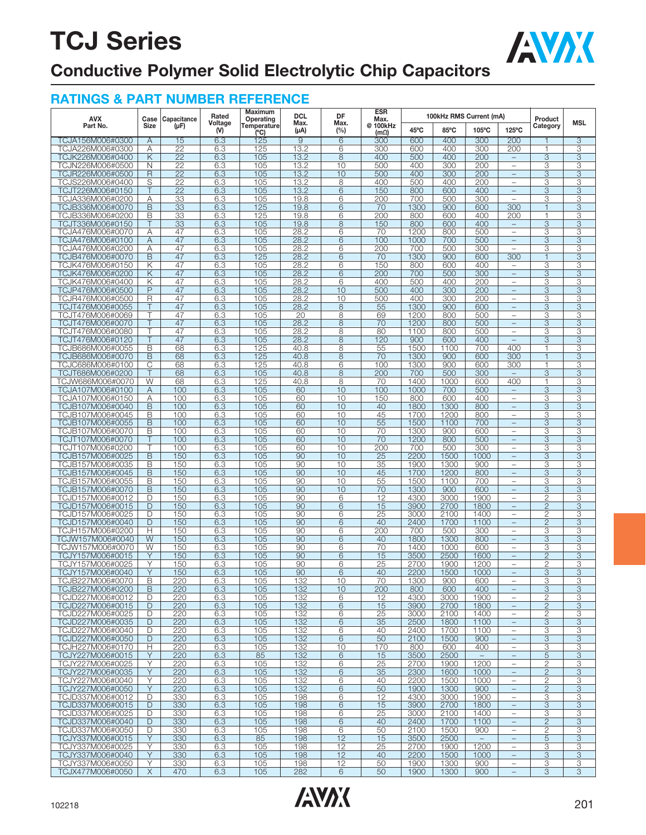

### **Conductive Polymer Solid Electrolytic Chip Capacitors**

| AVX                                  | Case        | Capacitance     | Rated          | Maximum<br>Operating | <b>DCL</b>     | DF          | ESR<br>Max.      |              |              | 100kHz RMS Current (mA)          |                                      | Product                        |        |
|--------------------------------------|-------------|-----------------|----------------|----------------------|----------------|-------------|------------------|--------------|--------------|----------------------------------|--------------------------------------|--------------------------------|--------|
| Part No.                             | <b>Size</b> | $(\mu F)$       | Voltage<br>(V) | Temperature<br>(C)   | Max.<br>(µA)   | Max.<br>(%) | @ 100kHz<br>(mΩ) | 45°C         | 85°C         | 105°C                            | 125°C                                | Category                       | MSL    |
| TCJA156M006#0300                     | Α           | 15              | 6.3            | 125                  | $\overline{9}$ | 6           | 300              | 600          | 400          | 300                              | 200                                  |                                | 3      |
| TCJA226M006#0300                     | Α           | 22              | 6.3            | 125                  | 13.2           | 6           | 300              | 600          | 400          | 300                              | 200                                  | 1                              | 3      |
| TCJK226M006#0400                     | Κ           | 22              | 6.3            | 105                  | 13.2           | 8           | 400              | 500          | 400          | 200                              | $\overline{\phantom{a}}$             | 3                              | 3      |
| TCJN226M006#0500                     | N           | 22              | 6.3            | 105                  | 13.2           | 10          | 500              | 400          | 300          | 200                              | $\overline{\phantom{0}}$             | 3                              | 3      |
| TCJR226M006#0500                     | R           | 22              | 6.3            | 105                  | 13.2           | 10          | 500              | 400          | 300          | 200                              | $\overline{\phantom{0}}$             | 3                              | 3      |
| TCJS226M006#0400                     | S           | $\overline{22}$ | 6.3            | 105                  | 13.2           | 8           | 400              | 500          | 400          | 200                              | $\qquad \qquad -$                    | 3                              | 3      |
| TCJT226M006#0150                     | Τ           | 22              | 6.3            | 105                  | 13.2           | 6           | 150              | 800          | 600          | 400                              | $\equiv$                             | 3                              | 3      |
| TCJA336M006#0200                     | Α           | 33              | 6.3            | 105                  | 19.8           | 6           | 200              | 700          | 500          | 300                              | $\bar{ }$                            | 3                              | 3      |
| TCJB336M006#0070                     | B           | 33              | 6.3            | 125                  | 19.8           | 6           | 70               | 1300         | 900          | 600                              | 300                                  | $\overline{1}$                 | 3      |
| TCJB336M006#0200                     | B           | 33              | 6.3            | 125                  | 19.8           | 6           | 200              | 800          | 600          | 400                              | 200                                  | $\mathbf{1}$                   | 3      |
| TCJT336M006#0150                     |             | 33              | 6.3            | 105                  | 19.8           | 8           | 150              | 800          | 600          | 400                              | $\qquad \qquad -$                    | 3                              | 3      |
| TCJA476M006#0070                     | A           | 47              | 6.3            | 105                  | 28.2           | 6           | 70               | 1200         | 800          | 500                              | $\overline{\phantom{0}}$             | 3                              | 3      |
| TCJA476M006#0100                     | Α           | 47              | 6.3            | 105                  | 28.2           | 6           | 100              | 1000         | 700          | 500                              | $\equiv$                             | 3                              | 3      |
| TCJA476M006#0200<br>TCJB476M006#0070 | Α<br>B      | 47<br>47        | 6.3<br>6.3     | 105<br>125           | 28.2<br>28.2   | 6<br>6      | 200<br>70        | 700<br>1300  | 500<br>900   | 300<br>600                       | $\overline{\phantom{0}}$<br>300      | 3<br>1                         | 3<br>3 |
| TCJK476M006#0150                     | Κ           | 47              | 6.3            | 105                  | 28.2           | 6           | 150              | 800          | 600          | 400                              | $\overline{\phantom{a}}$             | 3                              | 3      |
| TCJK476M006#0200                     | Κ           | 47              | 6.3            | 105                  | 28.2           | 6           | 200              | 700          | 500          | 300                              | $\equiv$                             | 3                              | 3      |
| TCJK476M006#0400                     | Κ           | 47              | 6.3            | 105                  | 28.2           | 6           | 400              | 500          | 400          | 200                              | $\overline{\phantom{0}}$             | 3                              | 3      |
| TCJP476M006#0500                     | P           | 47              | 6.3            | 105                  | 28.2           | 10          | 500              | 400          | 300          | 200                              | $\equiv$                             | 3                              | 3      |
| TCJR476M006#0500                     | R           | 47              | 6.3            | 105                  | 28.2           | 10          | 500              | 400          | 300          | 200                              |                                      | 3                              | 3      |
| TCJT476M006#0055                     | т           | 47              | 6.3            | 105                  | 28.2           | 8           | 55               | 1300         | 900          | 600                              | $\equiv$                             | 3                              | 3      |
| TCJT476M006#0069                     | т           | 47              | 6.3            | 105                  | 20             | 8           | 69               | 1200         | 800          | 500                              | $\overline{\phantom{0}}$             | 3                              | 3      |
| TCJT476M006#0070                     | Τ           | 47              | 6.3            | 105                  | 28.2           | 8           | 70               | 1200         | 800          | 500                              | $\equiv$                             | 3                              | 3      |
| TCJT476M006#0080                     | Τ           | 47              | 6.3            | 105                  | 28.2           | 8           | 80               | 1100         | 800          | 500                              | $\overline{\phantom{a}}$             | 3                              | 3      |
| TCJT476M006#0120                     | T           | 47              | 6.3            | 105                  | 28.2           | 8           | 120              | 900          | 600          | 400                              | $\equiv$                             | 3                              | 3      |
| TCJB686M006#0055                     | B           | 68              | 6.3            | 125                  | 40.8           | 8           | 55               | 1500         | 1100         | 700                              | 400                                  | 1                              | 3      |
| TCJB686M006#0070                     | B           | 68              | 6.3            | 125                  | 40.8           | 8           | 70               | 1300         | 900          | 600                              | 300                                  | 1                              | 3      |
| TCJC686M006#0100                     | С           | 68              | 6.3            | 125                  | 40.8           | 6           | 100              | 1300         | 900          | 600                              | 300                                  | 1                              | 3      |
| TCJT686M006#0200                     | Τ<br>W      | 68              | 6.3            | 105                  | 40.8           | 8           | 200              | 700          | 500          | 300                              | $\overline{\phantom{0}}$             | 3<br>1                         | 3      |
| TCJW686M006#0070<br>TCJA107M006#0100 | Α           | 68<br>100       | 6.3<br>6.3     | 125<br>105           | 40.8<br>60     | 8<br>10     | 70<br>100        | 1400<br>1000 | 1000<br>700  | 600<br>500                       | 400<br>$\equiv$                      | 3                              | 3<br>3 |
| TCJA107M006#0150                     | Α           | 100             | 6.3            | 105                  | 60             | 10          | 150              | 800          | 600          | 400                              | $\equiv$                             | 3                              | 3      |
| TCJB107M006#0040                     | B           | 100             | 6.3            | 105                  | 60             | 10          | 40               | 1800         | 1300         | 800                              | $\equiv$                             | 3                              | 3      |
| TCJB107M006#0045                     | B           | 100             | 6.3            | 105                  | 60             | 10          | 45               | 1700         | 1200         | 800                              | $\overline{\phantom{0}}$             | 3                              | 3      |
| TCJB107M006#0055                     | B           | 100             | 6.3            | 105                  | 60             | 10          | 55               | 1500         | 1100         | 700                              | $\equiv$                             | 3                              | 3      |
| TCJB107M006#0070                     | B           | 100             | 6.3            | 105                  | 60             | 10          | 70               | 1300         | 900          | 600                              | $\overline{\phantom{0}}$             | 3                              | 3      |
| TCJT107M006#0070                     | Τ           | 100             | 6.3            | 105                  | 60             | 10          | 70               | 1200         | 800          | 500                              | L,                                   | 3                              | 3      |
| TCJT107M006#0200                     |             | 100             | 6.3            | 105                  | 60             | 10          | 200              | 700          | 500          | 300                              | $\qquad \qquad -$                    | 3                              | 3      |
| TCJB157M006#0025                     | B           | 150             | 6.3            | 105                  | 90             | 10          | 25               | 2200         | 1500         | 1000                             | $\equiv$                             | 3                              | 3      |
| TCJB157M006#0035                     | B           | 150             | 6.3            | 105                  | 90             | 10          | 35               | 1900         | 1300         | 900                              | $\overline{\phantom{0}}$             | 3                              | 3      |
| TCJB157M006#0045                     | B           | 150             | 6.3            | 105                  | 90             | 10          | 45               | 1700         | 1200         | 800                              | $\equiv$                             | 3                              | 3      |
| TCJB157M006#0055                     | Β           | 150             | 6.3            | 105                  | 90             | 10          | 55               | 1500         | 1100         | 700                              | $\overline{\phantom{0}}$             | 3                              | 3      |
| TCJB157M006#0070                     | B           | 150             | 6.3            | 105                  | 90             | 10          | 70               | 1300         | 900          | 600                              | $\equiv$                             | 3                              | 3      |
| TCJD157M006#0012<br>TCJD157M006#0015 | D<br>D      | 150<br>150      | 6.3<br>6.3     | 105<br>105           | 90<br>90       | 6<br>6      | 12<br>15         | 4300<br>3900 | 3000<br>2700 | 1900<br>1800                     | $\qquad \qquad -$<br>$\equiv$        | $\mathbf{2}$<br>$\overline{2}$ | 3<br>3 |
| TCJD157M006#0025                     | D           | 150             | 6.3            | 105                  | 90             | 6           | $\overline{25}$  | 3000         | 2100         | 1400                             | $\qquad \qquad -$                    | 2                              | 3      |
| TCJD157M006#0040                     | D           | 150             | 6.3            | 105                  | 90             | 6           | 40               | 2400         | 1700         | 1100                             | $\equiv$                             | $\overline{2}$                 | 3      |
| TCJH157M006#0200                     | Н           | 150             | 6.3            | 105                  | 90             | 6           | 200              | 700          | 500          | 300                              | $\qquad \qquad -$                    | 3                              | 3      |
| TCJW157M006#0040                     | W           | 150             | 6.3            | 105                  | 90             | 6           | 40               | 1800         | 1300         | 800                              | $\equiv$                             | 3                              | 3      |
| TCJW157M006#0070                     | W           | 150             | 6.3            | 105                  | 90             | 6           | 70               | 1400         | 1000         | 600                              | $\overline{\phantom{0}}$             | 3                              | 3      |
| TCJY157M006#0015                     | Y           | 150             | 6.3            | 105                  | 90             | 6           | 15               | 3500         | 2500         | 1600                             | $\equiv$                             | $\overline{2}$                 | 3      |
| TCJY157M006#0025                     | Υ           | 150             | 6.3            | 105                  | 90             | 6           | $\overline{25}$  | 2700         | 1900         | 1200                             | $\qquad \qquad -$                    | $\mathbf{2}$                   | 3      |
| TCJY157M006#0040                     | Υ           | 150             | 6.3            | 105                  | 90             | 6           | 40               | 2200         | 1500         | 1000                             | $\equiv$                             | 3                              | 3      |
| TCJB227M006#0070                     | B           | 220             | 6.3            | 105                  | 132            | 10          | 70               | 1300         | 900          | 600                              | —                                    | 3                              | 3      |
| TCJB227M006#0200                     | B           | 220             | 6.3            | 105                  | 132            | 10          | 200              | 800          | 600          | 400                              | $\equiv$                             | 3                              | 3      |
| TCJD227M006#0012                     | D<br>D      | 220             | 6.3            | 105                  | 132            | 6           | 12               | 4300         | 3000         | 1900                             | $\overline{\phantom{a}}$             | 2                              | 3      |
| TCJD227M006#0015<br>TCJD227M006#0025 | D           | 220<br>220      | 6.3<br>6.3     | 105<br>105           | 132<br>132     | 6<br>6      | 15<br>25         | 3900<br>3000 | 2700<br>2100 | 1800<br>1400                     | $\equiv$<br>$\overline{\phantom{0}}$ | $\mathbf{2}$<br>$\overline{c}$ | 3<br>3 |
| TCJD227M006#0035                     | D           | 220             | 6.3            | 105                  | 132            | 6           | 35               | 2500         | 1800         | 1100                             | $\qquad \qquad -$                    | 3                              | 3      |
| TCJD227M006#0040                     | D           | 220             | 6.3            | 105                  | 132            | 6           | 40               | 2400         | 1700         | 1100                             | $\qquad \qquad -$                    | 3                              | 3      |
| TCJD227M006#0050                     | D           | 220             | 6.3            | 105                  | 132            | 6           | 50               | 2100         | 1500         | 900                              | $\equiv$                             | $\ensuremath{\mathsf{3}}$      | 3      |
| TCJH227M006#0170                     | Н           | 220             | 6.3            | 105                  | 132            | 10          | 170              | 800          | 600          | 400                              | $\qquad \qquad -$                    | 3                              | 3      |
| TCJY227M006#0015                     | Y           | 220             | 6.3            | 85                   | 132            | 6           | 15               | 3500         | 2500         | $\overline{\phantom{m}}$         | $\equiv$                             | 5                              | 3      |
| TCJY227M006#0025                     | Υ           | 220             | 6.3            | 105                  | 132            | 6           | 25               | 2700         | 1900         | 1200                             | $\qquad \qquad -$                    | 2                              | 3      |
| TCJY227M006#0035                     | Υ           | 220             | 6.3            | 105                  | 132            | 6           | 35               | 2300         | 1600         | 1000                             | $\overline{\phantom{a}}$             | $\mathbf{2}$                   | 3      |
| TCJY227M006#0040                     | Y           | 220             | 6.3            | 105                  | 132            | 6           | 40               | 2200         | 1500         | 1000                             | $\overline{\phantom{a}}$             | $\mathbf{2}$                   | 3      |
| TCJY227M006#0050                     | Y           | 220             | 6.3            | 105                  | 132            | 6           | 50               | 1900         | 1300         | 900                              | $\overline{\phantom{a}}$             | $\overline{2}$                 | 3      |
| TCJD337M006#0012                     | D           | 330             | 6.3            | 105                  | 198            | 6           | 12               | 4300         | 3000         | 1900                             |                                      | 3                              | 3      |
| TCJD337M006#0015                     | D           | 330             | 6.3            | 105                  | 198            | 6           | 15               | 3900         | 2700         | 1800                             | $\equiv$                             | $\ensuremath{\mathsf{3}}$      | 3      |
| TCJD337M006#0025                     | D           | 330             | 6.3            | 105                  | 198            | 6           | 25               | 3000         | 2100         | 1400                             | $\overline{\phantom{a}}$             | 3                              | 3      |
| TCJD337M006#0040                     | D           | 330             | 6.3            | 105                  | 198            | 6           | 40               | 2400         | 1700         | 1100                             | $\equiv$                             | $\mathbf{2}$                   | 3      |
| TCJD337M006#0050<br>TCJY337M006#0015 | D<br>Y      | 330             | 6.3<br>6.3     | 105<br>85            | 198            | 6<br>12     | 50<br>15         | 2100         | 1500<br>2500 | 900                              | $\qquad \qquad -$<br>$\equiv$        | 2<br>$\sqrt{5}$                | 3<br>3 |
| TCJY337M006#0025                     | Y           | 330<br>330      | 6.3            | 105                  | 198<br>198     | 12          | 25               | 3500<br>2700 | 1900         | $\overline{\phantom{m}}$<br>1200 | $\overline{\phantom{0}}$             | 3                              | 3      |
| TCJY337M006#0040                     | Y           | 330             | 6.3            | 105                  | 198            | 12          | 40               | 2200         | 1500         | 1000                             | $\qquad \qquad -$                    | 3                              | 3      |
| TCJY337M006#0050                     | Υ           | 330             | 6.3            | 105                  | 198            | 12          | 50               | 1900         | 1300         | 900                              | $\qquad \qquad -$                    | 3                              | 3      |
| TCJX477M006#0050                     | X           | 470             | 6.3            | 105                  | 282            | 6           | 50               | 1900         | 1300         | 900                              | $\equiv$                             | 3                              | 3      |

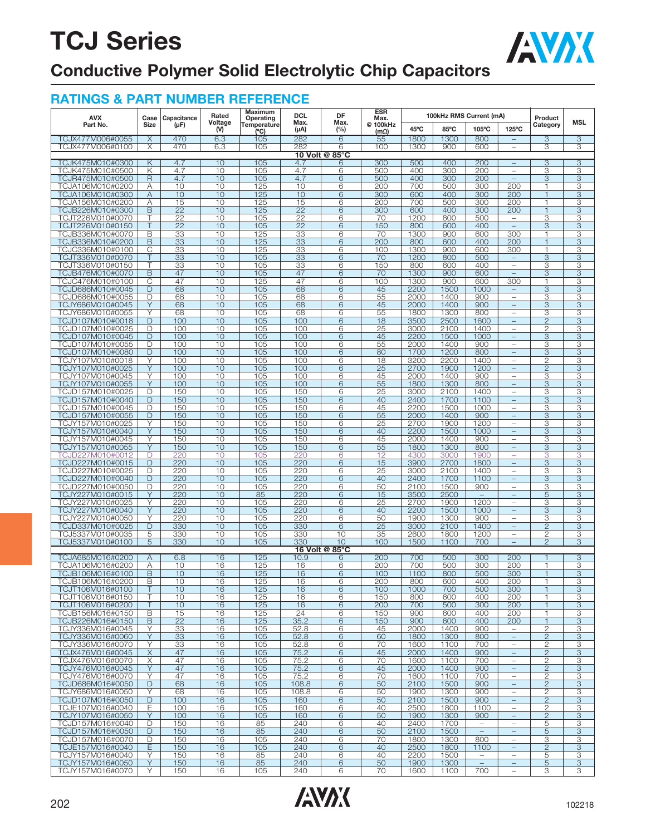

### **Conductive Polymer Solid Electrolytic Chip Capacitors**

| <b>AVX</b>                           | Case          | Capacitance | Rated          | Maximum<br>Operating | <b>DCL</b>      | DF             | ESR<br>Max.             |                | 100kHz RMS Current (mA) |                                  |                                                      | Product             |                     |
|--------------------------------------|---------------|-------------|----------------|----------------------|-----------------|----------------|-------------------------|----------------|-------------------------|----------------------------------|------------------------------------------------------|---------------------|---------------------|
| Part No.                             | Size          | $(\mu F)$   | Voltage<br>(V) | Temperature<br>(C)   | Max.<br>(µA)    | Max.<br>(%)    | @ 100kHz<br>$(m\Omega)$ | $45^{\circ}$ C | 85°C                    | 105°C                            | 125°C                                                | Category            | MSL                 |
| TCJX477M006#0055                     | X             | 470         | 6.3            | 105                  | 282             | $\overline{6}$ | 55                      | 1800           | 1300                    | 800                              | $\qquad \qquad -$                                    | 3                   | $\overline{3}$      |
| TCJX477M006#0100                     | X             | 470         | 6.3            | 105                  | 282             | 6              | 100                     | 1300           | 900                     | 600                              | $\qquad \qquad -$                                    | 3                   | 3                   |
|                                      |               | 4.7         | 10             | 105                  | 4.7             | 10 Volt @ 85°C | 300                     | 500            |                         |                                  | $\overline{\phantom{a}}$                             | 3                   |                     |
| TCJK475M010#0300<br>TCJK475M010#0500 | Κ<br>Κ        | 4.7         | 10             | 105                  | 4.7             | 6<br>6         | 500                     | 400            | 400<br>300              | 200<br>200                       | $\overline{\phantom{0}}$                             | 3                   | $\overline{3}$<br>3 |
| TCJR475M010#0500                     | $\mathsf{R}$  | 4.7         | 10             | 105                  | 4.7             | 6              | 500                     | 400            | 300                     | 200                              | $\overline{\phantom{a}}$                             | 3                   | 3                   |
| TCJA106M010#0200                     | A             | 10          | 10             | 125                  | 10              | 6              | 200                     | 700            | 500                     | 300                              | 200                                                  | 1                   | 3                   |
| TCJA106M010#0300                     | Α             | 10          | 10<br>10       | 125                  | 10<br>15        | 6<br>6         | 300<br>200              | 600<br>700     | 400<br>500              | 300<br>300                       | 200                                                  | 1<br>1              | 3                   |
| TCJA156M010#0200<br>TCJB226M010#0300 | Α<br>B        | 15<br>22    | 10             | 125<br>125           | 22              | 6              | 300                     | 600            | 400                     | 300                              | 200<br>200                                           | $\mathbf{1}$        | 3<br>3              |
| TCJT226M010#0070                     | Т             | 22          | 10             | 105                  | $\overline{22}$ | 6              | 70                      | 1200           | 800                     | 500                              | $\overline{\phantom{0}}$                             | 3                   | 3                   |
| TCJT226M010#0150                     |               | 22          | 10             | 105                  | 22              | 6              | 150                     | 800            | 600                     | 400                              | $\equiv$                                             | 3                   | 3                   |
| TCJB336M010#0070                     | В             | 33          | 10<br>10       | 125<br>125           | 33<br>33        | 6              | 70<br>200               | 1300<br>800    | 900<br>600              | 600<br>400                       | 300                                                  | 1<br>1              | 3<br>3              |
| TCJB336M010#0200<br>TCJC336M010#0100 | B<br>С        | 33<br>33    | 10             | 125                  | 33              | 6<br>6         | 100                     | 1300           | 900                     | 600                              | 200<br>300                                           | 1                   | 3                   |
| TCJT336M010#0070                     |               | 33          | 10             | 105                  | 33              | 6              | 70                      | 1200           | 800                     | 500                              | $\qquad \qquad -$                                    | 3                   | 3                   |
| TCJT336M010#0150                     | Т             | 33          | 10             | 105                  | 33              | 6              | 150                     | 800            | 600                     | 400                              | $\overline{\phantom{0}}$                             | 3                   | 3                   |
| TCJB476M010#0070                     | B             | 47          | 10             | 105                  | 47              | 6              | 70                      | 1300           | 900                     | 600                              | $\qquad \qquad -$                                    | 3                   | 3                   |
| TCJC476M010#0100<br>TCJD686M010#0045 | C<br>D        | 47<br>68    | 10<br>10       | 125<br>105           | 47<br>68        | 6<br>6         | 100<br>45               | 1300<br>2200   | 900<br>1500             | 600<br>1000                      | 300<br>$\qquad \qquad -$                             | 1<br>3              | 3<br>3              |
| TCJD686M010#0055                     | D             | 68          | 10             | 105                  | 68              | 6              | 55                      | 2000           | 1400                    | 900                              | $\overline{\phantom{0}}$                             | 3                   | 3                   |
| TCJY686M010#0045                     | Y             | 68          | 10             | 105                  | 68              | 6              | 45                      | 2000           | 1400                    | 900                              | $\qquad \qquad -$                                    | 3                   | 3                   |
| TCJY686M010#0055                     | Y             | 68          | 10             | 105                  | 68              | 6              | 55                      | 1800           | 1300                    | 800                              | $\overline{\phantom{0}}$                             | 3                   | 3                   |
| TCJD107M010#0018                     | D             | 100         | 10             | 105                  | 100             | 6              | 18                      | 3500           | 2500                    | 1600                             | $\qquad \qquad -$                                    | $\overline{2}$      | 3                   |
| TCJD107M010#0025<br>TCJD107M010#0045 | D<br>D        | 100<br>100  | 10<br>10       | 105<br>105           | 100<br>100      | 6<br>6         | 25<br>45                | 3000<br>2200   | 2100<br>1500            | 1400<br>1000                     | $\overline{\phantom{0}}$<br>$\qquad \qquad -$        | $\mathbf{2}$<br>3   | 3<br>3              |
| TCJD107M010#0055                     | D             | 100         | 10             | 105                  | 100             | 6              | 55                      | 2000           | 1400                    | 900                              | $\overline{\phantom{0}}$                             | 3                   | 3                   |
| TCJD107M010#0080                     | D             | 100         | 10             | 105                  | 100             | 6              | 80                      | 1700           | 1200                    | 800                              | $\qquad \qquad -$                                    | 3                   | 3                   |
| TCJY107M010#0018                     | Υ             | 100         | 10             | 105                  | 100             | 6              | 18                      | 3200           | 2200                    | 1400                             | ÷                                                    | 2                   | 3                   |
| TCJY107M010#0025                     | Y             | 100         | 10             | 105                  | 100             | 6              | 25                      | 2700           | 1900                    | 1200                             | $\qquad \qquad -$                                    | $\overline{2}$      | 3                   |
| TCJY107M010#0045<br>TCJY107M010#0055 | Υ<br>Y        | 100<br>100  | 10<br>10       | 105<br>105           | 100<br>100      | 6<br>6         | 45<br>55                | 2000<br>1800   | 1400<br>1300            | 900<br>800                       | ÷                                                    | 3<br>3              | 3<br>3              |
| TCJD157M010#0025                     | D             | 150         | 10             | 105                  | 150             | 6              | 25                      | 3000           | 2100                    | 1400                             | $\qquad \qquad -$<br>÷                               | 3                   | 3                   |
| TCJD157M010#0040                     | D             | 150         | 10             | 105                  | 150             | 6              | 40                      | 2400           | 1700                    | 1100                             | $\qquad \qquad -$                                    | 3                   | 3                   |
| TCJD157M010#0045                     | D             | 150         | 10             | 105                  | 150             | 6              | 45                      | 2200           | 1500                    | 1000                             | $\equiv$                                             | 3                   | 3                   |
| TCJD157M010#0055                     | D             | 150         | 10             | 105                  | 150             | 6              | 55                      | 2000           | 1400                    | 900                              | $\qquad \qquad -$                                    | 3                   | 3                   |
| TCJY157M010#0025<br>TCJY157M010#0040 | Υ<br>Y        | 150<br>150  | 10<br>10       | 105<br>105           | 150<br>150      | 6<br>6         | 25<br>40                | 2700<br>2200   | 1900<br>1500            | 1200<br>1000                     | $\overline{\phantom{0}}$<br>$\qquad \qquad -$        | 3<br>3              | 3<br>3              |
| TCJY157M010#0045                     | Y             | 150         | 10             | 105                  | 150             | 6              | 45                      | 2000           | 1400                    | 900                              | $\overline{\phantom{0}}$                             | З                   | 3                   |
| TCJY157M010#0055                     | Y             | 150         | 10             | 105                  | 150             | 6              | 55                      | 1800           | 1300                    | 800                              | $\qquad \qquad -$                                    | 3                   | 3                   |
| TCJD227M010#0012                     | D             | 220         | 10             | 105                  | 220             | 6              | 12                      | 4300           | 3000                    | 1900                             |                                                      | З                   | 3                   |
| TCJD227M010#0015                     | D             | 220         | 10             | 105                  | 220             | 6              | 15                      | 3900           | 2700                    | 1800                             | $\qquad \qquad -$                                    | 3                   | 3                   |
| TCJD227M010#0025<br>TCJD227M010#0040 | D<br>D        | 220<br>220  | 10<br>10       | 105<br>105           | 220<br>220      | 6<br>6         | 25<br>40                | 3000<br>2400   | 2100<br>1700            | 1400<br>1100                     | $\equiv$<br>$\qquad \qquad -$                        | 3<br>3              | 3<br>3              |
| TCJD227M010#0050                     | D             | 220         | 10             | 105                  | 220             | 6              | 50                      | 2100           | 1500                    | 900                              | $\equiv$                                             | З                   | 3                   |
| TCJY227M010#0015                     | Y             | 220         | 10             | 85                   | 220             | 6              | 15                      | 3500           | 2500                    | $\overline{\phantom{m}}$         | $\overline{\phantom{0}}$                             | 5                   | 3                   |
| TCJY227M010#0025                     | Y             | 220         | 10             | 105                  | 220             | 6              | 25                      | 2700           | 1900                    | 1200                             | ÷                                                    | З                   | 3                   |
| TCJY227M010#0040                     | Y             | 220         | 10             | 105                  | 220             | 6              | 40                      | 2200           | 1500                    | 1000                             | $\qquad \qquad -$                                    | 3                   | 3                   |
| TCJY227M010#0050<br>TCJD337M010#0025 | Υ<br>D        | 220<br>330  | 10<br>10       | 105<br>105           | 220<br>330      | 6<br>6         | 50<br>25                | 1900<br>3000   | 1300<br>2100            | 900<br>1400                      | $\qquad \qquad -$                                    | 3<br>$\overline{2}$ | 3<br>3              |
| TCJ5337M010#0035                     | 5             | 330         | 10             | 105                  | 330             | 10             | 35                      | 2600           | 1800                    | 1200                             | $\equiv$                                             | $\overline{2}$      | 3                   |
| TCJ5337M010#0100                     | 5             | 330         | 10             | 105                  | 330             | 10             | 100                     | 1500           | 1100                    | 700                              | $\qquad \qquad -$                                    | $\overline{2}$      | 3                   |
|                                      |               |             |                |                      |                 | 16 Volt @ 85°C |                         |                |                         |                                  |                                                      |                     |                     |
| TCJA685M016#0200<br>TCJA106M016#0200 | A<br>Α        | 6.8<br>10   | 16<br>16       | 125<br>125           | 10.9<br>16      | 6<br>6         | 200<br>200              | 700<br>700     | 500<br>500              | 300<br>300                       | 200<br>200                                           | 1                   | 3<br>3              |
| TCJB106M016#0100                     | B             | 10          | 16             | 125                  | 16              | 6              | 100                     | 1100           | 800                     | 500                              | 300                                                  | 1                   | 3                   |
| TCJB106M016#0200                     | В             | 10          | 16             | 125                  | 16              | 6              | 200                     | 800            | 600                     | 400                              | 200                                                  | 1                   | 3                   |
| TCJT106M016#0100                     |               | 10          | 16             | 125                  | 16              | 6              | 100                     | 1000           | 700                     | 500                              | 300                                                  | 1                   | 3                   |
| TCJT106M016#0150                     |               | 10          | 16             | 125                  | 16              | 6              | 150                     | 800            | 600                     | 400                              | 200                                                  | 1                   | 3                   |
| TCJT106M016#0200<br>TCJB156M016#0150 | B             | 10<br>15    | 16<br>16       | 125<br>125           | 16<br>24        | 6<br>6         | 200<br>150              | 700<br>900     | 500<br>600              | 300<br>400                       | 200<br>200                                           | 1<br>1              | 3<br>3              |
| TCJB226M016#0150                     | B             | 22          | 16             | 125                  | 35.2            | 6              | 150                     | 900            | 600                     | 400                              | 200                                                  | $\mathbf{1}$        | 3                   |
| TCJY336M016#0045                     | Y             | 33          | 16             | 105                  | 52.8            | 6              | 45                      | 2000           | 1400                    | 900                              | $\overline{\phantom{0}}$                             | 2                   | 3                   |
| TCJY336M016#0060                     | Y             | 33          | 16             | 105                  | 52.8            | 6              | 60                      | 1800           | 1300                    | 800                              | $\qquad \qquad -$                                    | $\overline{2}$      | 3                   |
| TCJY336M016#0070                     | Y             | 33          | 16             | 105                  | 52.8            | 6              | 70                      | 1600           | 1100                    | 700                              | $\overline{\phantom{0}}$                             | 2                   | 3                   |
| TCJX476M016#0045<br>TCJX476M016#0070 | $\times$<br>Χ | 47<br>47    | 16<br>16       | 105<br>105           | 75.2<br>75.2    | 6<br>6         | 45<br>70                | 2000<br>1600   | 1400<br>1100            | 900<br>700                       | $\overline{\phantom{0}}$<br>$\overline{\phantom{0}}$ | $\mathbf{2}$<br>2   | 3<br>3              |
| TCJY476M016#0045                     | Y             | 47          | 16             | 105                  | 75.2            | 6              | 45                      | 2000           | 1400                    | 900                              | $\qquad \qquad -$                                    | $\overline{2}$      | 3                   |
| TCJY476M016#0070                     | Y             | 47          | 16             | 105                  | 75.2            | 6              | 70                      | 1600           | 1100                    | 700                              | $\overline{\phantom{0}}$                             | 2                   | 3                   |
| TCJD686M016#0050                     | D             | 68          | 16             | 105                  | 108.8           | 6              | 50                      | 2100           | 1500                    | 900                              | $\qquad \qquad -$                                    | $\overline{2}$      | 3                   |
| TCJY686M016#0050                     | Y             | 68          | 16             | 105                  | 108.8           | 6              | 50                      | 1900           | 1300                    | 900                              | $\overline{\phantom{0}}$                             | 2                   | 3                   |
| TCJD107M016#0050<br>TCJE107M016#0040 | D<br>Ε        | 100<br>100  | 16<br>16       | 105<br>105           | 160<br>160      | 6<br>6         | 50<br>40                | 2100<br>2500   | 1500<br>1800            | 900<br>1100                      | $\qquad \qquad -$<br>$\overline{\phantom{0}}$        | $\overline{2}$<br>2 | 3<br>3              |
| TCJY107M016#0050                     | Υ             | 100         | 16             | 105                  | 160             | 6              | 50                      | 1900           | 1300                    | 900                              | $\overline{\phantom{0}}$                             | $\mathbf{2}$        | 3                   |
| TCJD157M016#0040                     | D             | 150         | 16             | 85                   | 240             | 6              | 40                      | 2400           | 1700                    | $\overline{\phantom{a}}$         | $\overline{\phantom{0}}$                             | 5                   | 3                   |
| TCJD157M016#0050                     | D             | 150         | 16             | 85                   | 240             | 6              | 50                      | 2100           | 1500                    | $\overline{\phantom{m}}$         | $\qquad \qquad -$                                    | 5                   | 3                   |
| TCJD157M016#0070                     | D             | 150         | 16             | 105                  | 240             | 6              | 70                      | 1800           | 1300                    | 800                              | $\overline{\phantom{0}}$                             | 3                   | 3                   |
| TCJE157M016#0040<br>TCJY157M016#0040 | E.<br>Υ       | 150<br>150  | 16<br>16       | 105<br>85            | 240<br>240      | 6<br>6         | 40<br>40                | 2500<br>2200   | 1800<br>1500            | 1100<br>$\overline{\phantom{a}}$ | $\qquad \qquad -$<br>$\overline{\phantom{0}}$        | $\mathbf{2}$<br>5   | 3<br>3              |
| TCJY157M016#0050                     | Y             | 150         | 16             | 85                   | 240             | 6              | 50                      | 1900           | 1300                    | $\overline{\phantom{m}}$         | $\qquad \qquad -$                                    | 5                   | 3                   |
| TCJY157M016#0070                     | Y             | 150         | 16             | 105                  | 240             | 6              | 70                      | 1600           | 1100                    | 700                              | $\qquad \qquad -$                                    | З                   | З                   |

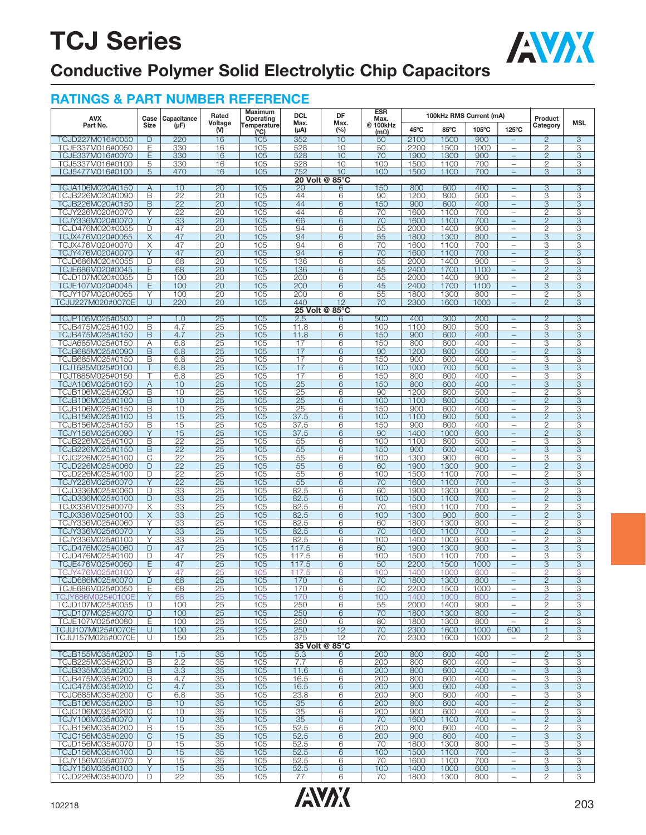

### **Conductive Polymer Solid Electrolytic Chip Capacitors**

| <b>AVX</b>                            | Case                    | Capacitance           | Rated                 | Maximum<br>Operating | DCL          | DF                   | ESR<br>Max.             |              | 100kHz RMS Current (mA) |             |                                                      | Product                        |                           |
|---------------------------------------|-------------------------|-----------------------|-----------------------|----------------------|--------------|----------------------|-------------------------|--------------|-------------------------|-------------|------------------------------------------------------|--------------------------------|---------------------------|
| Part No.                              | Size                    | $(\mu F)$             | Voltage<br>(V)        | Temperature<br>(°C)  | Max.<br>(µA) | Max.<br>$(\%)$       | @ 100kHz<br>$(m\Omega)$ | 45°C         | 85°C                    | 105°C       | $125^{\circ}$ C                                      | Category                       | MSL                       |
| TCJD227M016#0050                      | D                       | 220                   | 16                    | 105                  | 352          | 10                   | 50                      | 2100         | 1500                    | 900         | $\qquad \qquad -$                                    | $\overline{2}$                 | 3                         |
| TCJE337M016#0050                      | Ε                       | 330                   | 16                    | 105                  | 528          | 10                   | 50                      | 2200         | 1500                    | 1000        | $\overline{\phantom{0}}$                             | $\overline{c}$                 | 3                         |
| TCJE337M016#0070                      | Ε                       | 330                   | 16                    | 105                  | 528          | 10                   | 70                      | 1900         | 1300                    | 900         |                                                      | $\mathbf{2}$                   | 3                         |
| TCJ5337M016#0100                      | 5                       | 330                   | 16                    | 105                  | 528          | 10                   | 100                     | 1500         | 1100                    | 700         | $\overline{\phantom{0}}$                             | $\overline{2}$                 | З                         |
| TCJ5477M016#0100                      | 5                       | 470                   | 16                    | 105                  | 752          | 10<br>20 Volt @ 85°C | 100                     | 1500         | 1100                    | 700         |                                                      | 3                              | 3                         |
| TCJA106M020#0150                      | Α                       | 10                    | $\overline{20}$       | 105                  | 20           | 6                    | 150                     | 800          | 600                     | 400         | $\overline{\phantom{0}}$                             | 3                              | 3                         |
| TCJB226M020#0090                      | B                       | $\overline{22}$       | 20                    | 105                  | 44           | 6                    | 90                      | 1200         | 800                     | 500         | $\equiv$                                             | 3                              | 3                         |
| TCJB226M020#0150                      | B                       | $\overline{22}$       | 20                    | 105                  | 44           | 6                    | 150                     | 900          | 600                     | 400         |                                                      | 3                              | 3                         |
| TCJY226M020#0070                      | Υ                       | 22                    | 20                    | 105                  | 44           | 6                    | 70                      | 1600         | 1100                    | 700         | $\overline{\phantom{0}}$                             | $\mathbf{2}$                   | 3                         |
| TCJY336M020#0070                      | Υ                       | 33                    | 20                    | 105                  | 66           | 6                    | 70                      | 1600         | 1100                    | 700         | $\equiv$                                             | $\mathbf{2}$                   | 3                         |
| TCJD476M020#0055                      | D                       | 47                    | 20                    | 105                  | 94           | 6                    | 55                      | 2000         | 1400                    | 900         |                                                      | $\overline{c}$                 | 3                         |
| TCJX476M020#0055                      | X                       | 47                    | 20                    | 105                  | 94           | 6                    | 55                      | 1800         | 1300                    | 800         | $\equiv$                                             | 3                              | 3                         |
| TCJX476M020#0070                      | Χ                       | 47                    | 20                    | 105                  | 94           | 6                    | 70                      | 1600         | 1100                    | 700         | $\overline{\phantom{0}}$<br>L.                       | 3                              | 3                         |
| TCJY476M020#0070<br>TCJD686M020#0055  | Υ<br>D                  | 47<br>68              | 20<br>20              | 105<br>105           | 94<br>136    | 6<br>6               | 70<br>55                | 1600<br>2000 | 1100<br>1400            | 700<br>900  | $\overline{\phantom{0}}$                             | 2<br>3                         | 3<br>3                    |
| TCJE686M020#0045                      | Ε                       | 68                    | $\overline{20}$       | 105                  | 136          | 6                    | 45                      | 2400         | 1700                    | 1100        |                                                      | $\mathbf{2}$                   | 3                         |
| TCJD107M020#0055                      | D                       | 100                   | 20                    | 105                  | 200          | 6                    | 55                      | 2000         | 1400                    | 900         | $\overline{\phantom{0}}$                             | $\overline{c}$                 | 3                         |
| TCJE107M020#0045                      | Ε                       | 100                   | 20                    | 105                  | 200          | 6                    | 45                      | 2400         | 1700                    | 1100        | $\overline{\phantom{0}}$                             | $\overline{3}$                 | $\overline{3}$            |
| TCJY107M020#0055                      | Υ                       | 100                   | 20                    | 105                  | 200          | $\overline{6}$       | 55                      | 1800         | 1300                    | 800         | $\overline{\phantom{0}}$                             | $\mathbf{2}$                   | 3                         |
| TCJU227M020#0070E                     | U                       | 220                   | 20                    | 105                  | 440          | 12                   | 70                      | 2300         | 1600                    | 1000        | $\equiv$                                             | $\overline{2}$                 | 3                         |
|                                       |                         |                       |                       |                      |              | 25 Volt @ 85°C       |                         |              |                         |             |                                                      |                                |                           |
| TCJP105M025#0500                      | $\overline{P}$<br>B     | 1.0<br>4.7            | 25<br>25              | 105<br>105           | 2.5<br>11.8  | 6<br>6               | 500<br>100              | 400<br>1100  | 300<br>800              | 200<br>500  | $\equiv$                                             | $\overline{2}$<br>3            | 3<br>3                    |
| TCJB475M025#0100<br>TCJB475M025#0150  | $\overline{\mathsf{B}}$ | 4.7                   | 25                    | 105                  | 11.8         | 6                    | 150                     | 900          | 600                     | 400         | $\overline{\phantom{0}}$<br>$\qquad \qquad -$        | $\overline{3}$                 | $\overline{\mathbf{3}}$   |
| TCJA685M025#0150                      | Α                       | 6.8                   | 25                    | 105                  | 17           | 6                    | 150                     | 800          | 600                     | 400         |                                                      | 3                              | 3                         |
| TCJB685M025#0090                      | B                       | 6.8                   | 25                    | 105                  | 17           | 6                    | 90                      | 1200         | 800                     | 500         | L,                                                   | $\overline{2}$                 | 3                         |
| TCJB685M025#0150                      | B                       | 6.8                   | 25                    | 105                  | 17           | 6                    | 150                     | 900          | 600                     | 400         | $\overline{\phantom{0}}$                             | 3                              | З                         |
| TCJT685M025#0100                      |                         | 6.8                   | 25                    | 105                  | 17           | 6                    | 100                     | 1000         | 700                     | 500         |                                                      | 3                              | 3                         |
| TCJT685M025#0150                      | Т                       | 6.8                   | 25                    | 105                  | 17           | 6                    | 150                     | 800          | 600                     | 400         | $\overline{\phantom{0}}$                             | 3                              | 3                         |
| TCJA106M025#0150                      | Α                       | 10                    | 25                    | 105                  | 25           | 6                    | 150                     | 800          | 600                     | 400         | -                                                    | 3                              | 3                         |
| TCJB106M025#0090                      | В                       | 10<br>10              | 25                    | 105                  | 25           | 6<br>6               | 90<br>100               | 1200         | 800<br>800              | 500         |                                                      | 2                              | З                         |
| TCJB106M025#0100<br>TCJB106M025#0150  | B<br>B                  | 10                    | 25<br>25              | 105<br>105           | 25<br>25     | 6                    | 150                     | 1100<br>900  | 600                     | 500<br>400  | $\overline{\phantom{0}}$<br>$\overline{\phantom{0}}$ | $\overline{2}$<br>$\mathbf{2}$ | 3<br>3                    |
| TCJB156M025#0100                      | B                       | 15                    | 25                    | 105                  | 37.5         | 6                    | 100                     | 1100         | 800                     | 500         | $\qquad \qquad -$                                    | $\overline{2}$                 | 3                         |
| TCJB156M025#0150                      | B                       | 15                    | $\overline{25}$       | 105                  | 37.5         | 6                    | 150                     | 900          | 600                     | 400         | $\overline{\phantom{0}}$                             | $\overline{2}$                 | 3                         |
| TCJY156M025#0090                      | Y                       | 15                    | 25                    | 105                  | 37.5         | 6                    | 90                      | 1400         | 1000                    | 600         | L.                                                   | $\mathbf{2}$                   | 3                         |
| TCJB226M025#0100                      | B                       | 22                    | 25                    | 105                  | 55           | 6                    | 100                     | 1100         | 800                     | 500         | $\overline{\phantom{0}}$                             | 3                              | 3                         |
| TCJB226M025#0150                      | B                       | 22                    | 25                    | 105                  | 55           | 6                    | 150                     | 900          | 600                     | 400         | $\equiv$                                             | 3                              | 3                         |
| TCJC226M025#0100                      | С<br>$\mathsf{D}$       | 22                    | 25                    | 105                  | 55           | 6                    | 100                     | 1300         | 900                     | 600         | $\overline{\phantom{0}}$                             | 3                              | 3                         |
| TCJD226M025#0060<br>TCJD226M025#0100  | D                       | $\overline{22}$<br>22 | $\overline{25}$<br>25 | 105<br>105           | 55<br>55     | 6<br>6               | 60<br>100               | 1900<br>1500 | 1300<br>1100            | 900<br>700  | $\overline{\phantom{0}}$<br>$\overline{\phantom{0}}$ | $\overline{c}$<br>$\mathbf{2}$ | 3<br>3                    |
| TCJY226M025#0070                      | Ÿ                       | $\overline{22}$       | 25                    | 105                  | 55           | 6                    | 70                      | 1600         | 1100                    | 700         | $\qquad \qquad -$                                    | 3                              | 3                         |
| TCJD336M025#0060                      | D                       | 33                    | 25                    | 105                  | 82.5         | 6                    | 60                      | 1900         | 1300                    | 900         | $\equiv$                                             | $\mathbf{2}$                   | 3                         |
| TCJD336M025#0100                      | D                       | 33                    | 25                    | 105                  | 82.5         | 6                    | 100                     | 1500         | 1100                    | 700         | $\qquad \qquad -$                                    | $\overline{2}$                 | 3                         |
| TCJX336M025#0070                      | Χ                       | 33                    | 25                    | 105                  | 82.5         | 6                    | 70                      | 1600         | 1100                    | 700         | $\overline{\phantom{0}}$                             | $\overline{c}$                 | 3                         |
| TCJX336M025#0100                      | X                       | 33                    | 25                    | 105                  | 82.5         | 6                    | 100                     | 1300         | 900                     | 600         |                                                      | $\mathbf{2}$                   | 3                         |
| TCJY336M025#0060<br>TCJY336M025#0070  | Υ<br>Y                  | 33<br>33              | 25                    | 105                  | 82.5         | 6<br>6               | 60                      | 1800         | 1300                    | 800         | $\overline{\phantom{0}}$                             | $\mathbf{2}$<br>$\overline{2}$ | 3<br>3                    |
| TCJY336M025#0100                      | Υ                       | 33                    | 25<br>25              | 105<br>105           | 82.5<br>82.5 | 6                    | 70<br>100               | 1600<br>1400 | 1100<br>1000            | 700<br>600  | $\qquad \qquad -$                                    | $\overline{c}$                 | 3                         |
| TCJD476M025#0060                      | D                       | 47                    | 25                    | 105                  | 117.5        | 6                    | 60                      | 1900         | 1300                    | 900         |                                                      | 3                              | 3                         |
| TCJD476M025#0100                      | D                       | 47                    | 25                    | 105                  | 117.5        | 6                    | 100                     | 1500         | 1100                    | 700         | $\overline{\phantom{0}}$                             | 3                              | 3                         |
| TCJE476M025#0050                      | Ε                       | 47                    | 25                    | 105                  | 117.5        | 6                    | 50                      | 2200         | 1500                    | 1000        | $\qquad \qquad -$                                    | 3                              | 3                         |
| TCJY476M025#0100                      | Υ                       | 47                    | 25                    | 105                  | 117.5        | 6                    | 10 <sup>c</sup>         | 1400         | 1000                    | 600         | L,                                                   | 2                              | 3                         |
| TCJD686M025#0070                      | D                       | 68                    | $\overline{25}$       | 105                  | 170          | $\overline{6}$       | 70                      | 1800         | 1300                    | 800         |                                                      | $\overline{c}$                 | $\overline{3}$            |
| TCJE686M025#0050<br>TCJY686M025#0100E | Ε                       | 68<br>68              | 25<br>25              | 105<br>105           | 170<br>170   | 6<br>6               | 50<br>100               | 2200<br>1400 | 1500<br>1000            | 1000<br>600 | $\overline{\phantom{0}}$<br>-                        | З<br>$\overline{2}$            | З<br>3                    |
| TCJD107M025#0055                      | D                       | 100                   | 25                    | 105                  | 250          | 6                    | 55                      | 2000         | 1400                    | 900         | $\overline{\phantom{0}}$                             | $\overline{2}$                 | 3                         |
| TCJD107M025#0070                      | D                       | 100                   | 25                    | 105                  | 250          | 6                    | 70                      | 1800         | 1300                    | 800         | $\qquad \qquad -$                                    | $\overline{2}$                 | 3                         |
| TCJE107M025#0080                      | Ε                       | 100                   | 25                    | 105                  | 250          | 6                    | 80                      | 1800         | 1300                    | 800         | $\overline{\phantom{m}}$                             | 2                              | З                         |
| TCJU107M025#0070E                     | U                       | 100                   | 25                    | 125                  | 250          | 12                   | 70                      | 2300         | 1600                    | 1000        | 600                                                  | 1                              | 3                         |
| TCJU157M025#0070E                     | U                       | 150                   | 25                    | 105                  | 375          | 12                   | 70                      | 2300         | 1600                    | 1000        | $\overline{\phantom{0}}$                             | 2                              | 3                         |
|                                       |                         |                       |                       |                      |              | 35 Volt @ 85°C       |                         |              |                         |             |                                                      |                                |                           |
| TCJB155M035#0200<br>TCJB225M035#0200  | B<br>B                  | 1.5<br>2.2            | 35<br>35              | 105<br>105           | 5.3<br>7.7   | 6<br>6               | 200<br>200              | 800<br>800   | 600<br>600              | 400<br>400  | $\equiv$<br>$\overline{\phantom{0}}$                 | $\overline{2}$<br>3            | 3<br>3                    |
| TCJB335M035#0200                      | B                       | 3.3                   | 35                    | 105                  | 11.6         | $6\overline{6}$      | 200                     | 800          | 600                     | 400         | $\equiv$                                             | 3                              | 3                         |
| TCJB475M035#0200                      | В                       | 4.7                   | 35                    | 105                  | 16.5         | 6                    | 200                     | 800          | 600                     | 400         | $\overline{\phantom{0}}$                             | З                              | З                         |
| TCJC475M035#0200                      | C                       | 4.7                   | 35                    | 105                  | 16.5         | 6                    | 200                     | 900          | 600                     | 400         | $\equiv$                                             | 3                              | 3                         |
| TCJC685M035#0200                      | С                       | 6.8                   | 35                    | 105                  | 23.8         | 6                    | 200                     | 900          | 600                     | 400         | $\overline{\phantom{0}}$                             | 3                              | 3                         |
| TCJB106M035#0200                      | B                       | 10                    | 35                    | 105                  | 35           | 6                    | 200                     | 800          | 600                     | 400         | $\overline{\phantom{0}}$                             | $\overline{c}$                 | $\ensuremath{\mathsf{3}}$ |
| TCJC106M035#0200                      | С                       | 10                    | 35                    | 105                  | 35           | 6                    | 200                     | 900          | 600                     | 400         | $\overline{\phantom{0}}$                             | 3<br>$\overline{2}$            | 3                         |
| TCJY106M035#0070<br>TCJB156M035#0200  | Y<br>B                  | 10<br>15              | 35<br>35              | 105<br>105           | 35<br>52.5   | $\overline{6}$<br>6  | 70<br>200               | 1600<br>800  | 1100<br>600             | 700<br>400  | $\qquad \qquad -$<br>$\overline{\phantom{0}}$        | $\mathbf{2}$                   | $\overline{3}$<br>З       |
| TCJC156M035#0200                      | C                       | 15                    | 35                    | 105                  | 52.5         | 6                    | 200                     | 900          | 600                     | 400         | $\overline{\phantom{0}}$                             | 3                              | 3                         |
| TCJD156M035#0070                      | D                       | 15                    | 35                    | 105                  | 52.5         | 6                    | 70                      | 1800         | 1300                    | 800         | $\overline{\phantom{0}}$                             | 3                              | 3                         |
| TCJD156M035#0100                      | D                       | 15                    | 35                    | 105                  | 52.5         | 6                    | 100                     | 1500         | 1100                    | 700         | $\qquad \qquad -$                                    | 3                              | 3                         |
| TCJY156M035#0070                      | Υ                       | 15                    | 35                    | 105                  | 52.5         | 6                    | 70                      | 1600         | 1100                    | 700         | $\qquad \qquad -$                                    | 3                              | 3                         |
| TCJY156M035#0100                      | Υ                       | 15                    | 35                    | 105                  | 52.5         | 6                    | 100                     | 1400         | 1000                    | 600         | $\equiv$                                             | 3                              | 3                         |
| TCJD226M035#0070                      | D                       | 22                    | 35                    | 105                  | 77           | 6                    | 70                      | 1800         | 1300                    | 800         | $\overline{\phantom{0}}$                             | 2                              | З                         |

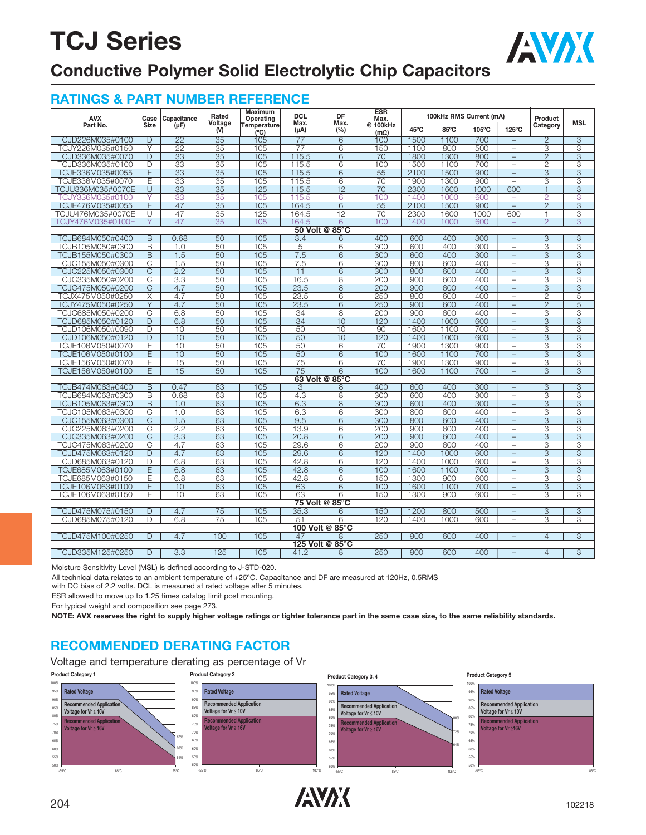

### **Conductive Polymer Solid Electrolytic Chip Capacitors**

#### **RATINGS & PART NUMBER REFERENCE**

| <b>AVX</b>        | Case                    | Capacitance     | Rated           | Maximum<br>Operating | <b>DCL</b>     | DF                  | <b>ESR</b><br>Max.      |      | 100kHz RMS Current (mA) |       |                          | Product                 | <b>MSL</b>     |
|-------------------|-------------------------|-----------------|-----------------|----------------------|----------------|---------------------|-------------------------|------|-------------------------|-------|--------------------------|-------------------------|----------------|
| Part No.          | <b>Size</b>             | $(\mu F)$       | Voltage<br>(V)  | Temperature<br>(°C)  | Max.<br>(µA)   | Max.<br>(%)         | @ 100kHz<br>$(m\Omega)$ | 45°C | 85°C                    | 105°C | 125°C                    | Category                |                |
| TCJD226M035#0100  | D                       | 22              | 35              | 105                  | 77             | $\overline{6}$      | 100                     | 1500 | 1100                    | 700   | $\qquad \qquad -$        | $\overline{2}$          | $\overline{3}$ |
| TCJY226M035#0150  | Υ                       | $\overline{22}$ | 35              | 105                  | 77             | 6                   | 150                     | 1100 | 800                     | 500   | $\overline{\phantom{a}}$ | 3                       | 3              |
| TCJD336M035#0070  | D                       | $\overline{33}$ | $\overline{35}$ | 105                  | 115.5          | $6\overline{6}$     | 70                      | 1800 | 1300                    | 800   |                          | $\overline{2}$          | 3              |
| TCJD336M035#0100  | D                       | 33              | 35              | 105                  | 115.5          | 6                   | 100                     | 1500 | 1100                    | 700   | $\equiv$                 | $\overline{c}$          | 3              |
| TCJE336M035#0055  | E                       | 33              | $\overline{35}$ | 105                  | 115.5          | 6                   | 55                      | 2100 | 1500                    | 900   | $\equiv$                 | 3                       | 3              |
| TCJE336M035#0070  | Ε                       | 33              | 35              | 105                  | 115.5          | 6                   | 70                      | 1900 | 1300                    | 900   | $\overline{\phantom{0}}$ | 3                       | 3              |
| TCJU336M035#0070E | Ū                       | 33              | 35              | 125                  | 115.5          | 12                  | 70                      | 2300 | 1600                    | 1000  | 600                      | $\overline{1}$          | 3              |
| TCJY336M035#0100  | Y                       | 33              | 35              | 105                  | 115.5          | 6                   | 100                     | 1400 | 1000                    | 600   | $\equiv$                 | $\overline{2}$          | 3              |
| TCJE476M035#0055  | Ε                       | 47              | $\overline{35}$ | 105                  | 164.5          | 6                   | $\overline{55}$         | 2100 | 1500                    | 900   | $\equiv$                 | $\overline{2}$          | $\overline{3}$ |
| TCJU476M035#0070E | U                       | 47              | $\overline{35}$ | 125                  | 164.5          | $\overline{12}$     | 70                      | 2300 | 1600                    | 1000  | 600                      | 1                       | 3              |
| TCJY476M035#0100E | Y                       | 47              | 35              | 105                  | 164.5          | 6                   | 100                     | 1400 | 1000                    | 600   |                          | $\mathcal{P}$           | 3              |
|                   |                         |                 |                 |                      |                | 50 Volt @ 85°C      |                         |      |                         |       |                          |                         |                |
| TCJB684M050#0400  | $\overline{B}$          | 0.68            | 50              | 105                  | 3.4            | 6                   | 400                     | 600  | 400                     | 300   | $\qquad \qquad -$        | $\overline{3}$          | $\overline{3}$ |
| TCJB105M050#0300  | B                       | 1.0             | 50              | 105                  | $\overline{5}$ | $6\overline{6}$     | $\overline{300}$        | 600  | 400                     | 300   | $\qquad \qquad -$        | 3                       | 3              |
| TCJB155M050#0300  | B                       | 1.5             | 50              | 105                  | 7.5            | $6\overline{6}$     | 300                     | 600  | 400                     | 300   | $\equiv$                 | $\overline{3}$          | $\overline{3}$ |
| TCJC155M050#0300  | $\overline{C}$          | 1.5             | 50              | 105                  | 7.5            | 6                   | 300                     | 800  | 600                     | 400   | $\overline{\phantom{m}}$ | $\overline{3}$          | $\overline{3}$ |
| TCJC225M050#0300  | С                       | 2.2             | 50              | 105                  | 11             | 6                   | 300                     | 800  | 600                     | 400   | $\equiv$                 | 3                       | 3              |
| TCJC335M050#0200  | C                       | 3.3             | 50              | 105                  | 16.5           | 8                   | 200                     | 900  | 600                     | 400   | $\equiv$                 | 3                       | 3              |
| TCJC475M050#0200  | C                       | 4.7             | 50              | 105                  | 23.5           | 8                   | 200                     | 900  | 600                     | 400   | $\equiv$                 | $\overline{3}$          | $\overline{3}$ |
| TCJX475M050#0250  | X                       | 4.7             | 50              | 105                  | 23.5           | 6                   | 250                     | 800  | 600                     | 400   | $\equiv$                 | $\overline{2}$          | 5              |
| TCJY475M050#0250  | Y                       | 4.7             | 50              | 105                  | 23.5           | 6                   | 250                     | 900  | 600                     | 400   | $\equiv$                 | $\overline{2}$          | 5              |
| TCJC685M050#0200  | С                       | 6.8             | 50              | 105                  | 34             | 8                   | 200                     | 900  | 600                     | 400   | $\overline{\phantom{0}}$ | 3                       | 3              |
| TCJD685M050#0120  | D                       | 6.8             | 50              | 105                  | 34             | 10                  | 120                     | 1400 | 1000                    | 600   | $\equiv$                 | 3                       | 3              |
| TCJD106M050#0090  | D                       | 10              | 50              | 105                  | 50             | 10                  | 90                      | 1600 | 1100                    | 700   | $\equiv$                 | 3                       | 3              |
| TCJD106M050#0120  | $\overline{D}$          | 10              | 50              | 105                  | 50             | 10                  | 120                     | 1400 | 1000                    | 600   | $\overline{\phantom{0}}$ | $\overline{3}$          | $\overline{3}$ |
| TCJE106M050#0070  | Е                       | 10              | 50              | 105                  | 50             | 6                   | 70                      | 1900 | 1300                    | 900   | $\overline{\phantom{m}}$ | 3                       | 3              |
| TCJE106M050#0100  | E                       | 10              | 50              | 105                  | 50             | 6                   | 100                     | 1600 | 1100                    | 700   |                          | 3                       | 3              |
| TCJE156M050#0070  | Ε                       | 15              | 50              | 105                  | 75             | 6                   | 70                      | 1900 | 1300                    | 900   | $\equiv$                 | 3                       | 3              |
| TCJE156M050#0100  | E                       | 15              | 50              | 105                  | 75             | 6<br>63 Volt @ 85°C | 100                     | 1600 | 1100                    | 700   | $\equiv$                 | 3                       | 3              |
| TCJB474M063#0400  | $\overline{B}$          | 0.47            | 63              | 105                  | $\overline{3}$ | 8                   | 400                     | 600  | 400                     | 300   |                          | $\overline{3}$          | $\overline{3}$ |
| TCJB684M063#0300  | B                       | 0.68            | 63              | 105                  | 4.3            | 8                   | 300                     | 600  | 400                     | 300   | $\overline{\phantom{0}}$ | 3                       | 3              |
| TCJB105M063#0300  | B                       | 1.0             | 63              | 105                  | 6.3            | 8                   | 300                     | 600  | 400                     | 300   | $\equiv$                 | 3                       | $\overline{3}$ |
| TCJC105M063#0300  | C                       | 1.0             | 63              | 105                  | 6.3            | 6                   | 300                     | 800  | 600                     | 400   | $\overline{\phantom{m}}$ | 3                       | 3              |
| TCJC155M063#0300  | $\overline{\text{C}}$   | 1.5             | 63              | 105                  | 9.5            | 6                   | 300                     | 800  | 600                     | 400   | $\equiv$                 | $\overline{3}$          | $\overline{3}$ |
| TCJC225M063#0200  | $\overline{\mathbb{C}}$ | 2.2             | 63              | 105                  | 13.9           | $6\overline{6}$     | 200                     | 900  | 600                     | 400   | $\overline{\phantom{0}}$ | 3                       | 3              |
| TCJC335M063#0200  | $\overline{C}$          | 3.3             | 63              | 105                  | 20.8           | 6                   | 200                     | 900  | 600                     | 400   | $\equiv$                 | $\overline{3}$          | $\overline{3}$ |
| TCJC475M063#0200  | С                       | 4.7             | 63              | 105                  | 29.6           | 6                   | 200                     | 900  | 600                     | 400   | $\overline{\phantom{m}}$ | 3                       | 3              |
| TCJD475M063#0120  | D                       | 4.7             | 63              | 105                  | 29.6           | 6                   | 120                     | 1400 | 1000                    | 600   | $\overline{\phantom{m}}$ | $\overline{3}$          | 3              |
| TCJD685M063#0120  | D                       | 6.8             | 63              | 105                  | 42.8           | 6                   | 120                     | 1400 | 1000                    | 600   | $\overline{\phantom{0}}$ | 3                       | 3              |
| TCJE685M063#0100  | E                       | 6.8             | 63              | 105                  | 42.8           | 6                   | 100                     | 1600 | 1100                    | 700   | $\equiv$                 | 3                       | 3              |
| TCJE685M063#0150  | E                       | 6.8             | 63              | 105                  | 42.8           | 6                   | 150                     | 1300 | 900                     | 600   | $\equiv$                 | 3                       | 3              |
| TCJE106M063#0100  | Ε                       | 10              | 63              | 105                  | 63             | 6                   | 100                     | 1600 | 1100                    | 700   | $\equiv$                 | 3                       | 3              |
| TCJE106M063#0150  | E                       | 10              | 63              | 105                  | 63             | 6                   | 150                     | 1300 | 900                     | 600   | $\overline{\phantom{m}}$ | 3                       | 3              |
|                   |                         |                 |                 |                      |                | 75 Volt @ 85°C      |                         |      |                         |       |                          |                         |                |
| TCJD475M075#0150  | D                       | 4.7             | 75              | 105                  | 35.3           | 6                   | 150                     | 1200 | 800                     | 500   | $\equiv$                 | 3                       | 3              |
| TCJD685M075#0120  | $\overline{D}$          | 6.8             | $\overline{75}$ | 105                  | 51             | $6\overline{6}$     | 120                     | 1400 | 1000                    | 600   | $\equiv$                 | $\overline{\mathbf{3}}$ | 3              |
|                   |                         |                 |                 |                      |                | 100 Volt @ 85°C     |                         |      |                         |       |                          |                         |                |
| TCJD475M100#0250  | $\overline{D}$          | 4.7             | 100             | 105                  | 47             | 8                   | 250                     | 900  | 600                     | 400   |                          | $\overline{4}$          | $\overline{3}$ |
|                   |                         |                 |                 |                      |                | 125 Volt @ 85°C     |                         |      |                         |       |                          |                         |                |
| TCJD335M125#0250  | $\overline{D}$          | 3.3             | 125             | 105                  | 41.2           | 8                   | 250                     | 900  | 600                     | 400   |                          | $\overline{4}$          | $\overline{3}$ |

Moisture Sensitivity Level (MSL) is defined according to J-STD-020.

All technical data relates to an ambient temperature of +25ºC. Capacitance and DF are measured at 120Hz, 0.5RMS

with DC bias of 2.2 volts. DCL is measured at rated voltage after 5 minutes.

ESR allowed to move up to 1.25 times catalog limit post mounting.

For typical weight and composition see page 273.

**NOTE: AVX reserves the right to supply higher voltage ratings or tighter tolerance part in the same case size, to the same reliability standards.**

### **RECOMMENDED DERATING FACTOR**

Voltage and temperature derating as percentage of Vr



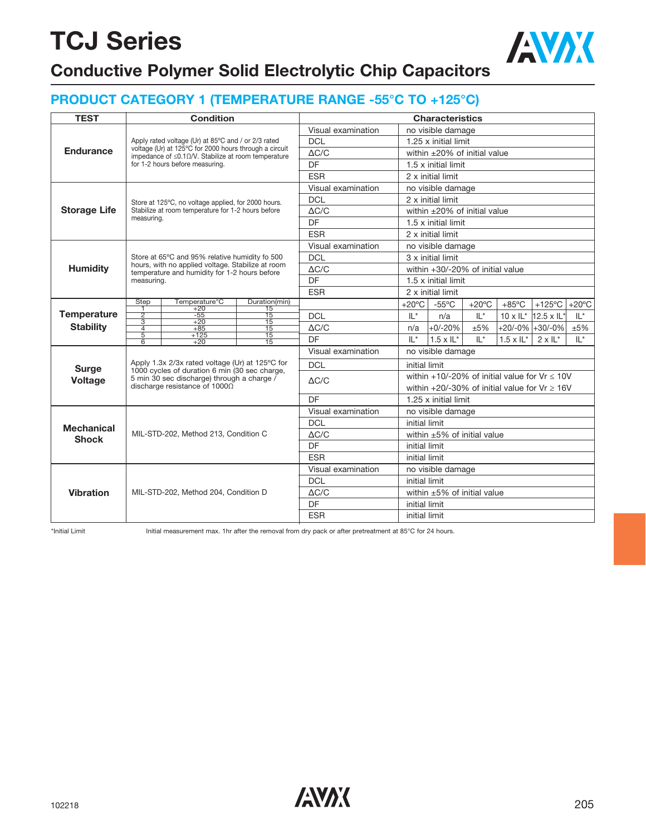### **Conductive Polymer Solid Electrolytic Chip Capacitors**

### **PRODUCT CATEGORY 1 (TEMPERATURE RANGE -55°C TO +125°C)**

| <b>TEST</b>                                                                                                                                                                 |                                                                                                                                                                                                                                                                                                                                                                                                                                                                                                                                                                                                                                                                                                                                                                                                                                                                                                                                                                                                                                                                                                       |                                      |  | <b>Characteristics</b> |                              |                 |                                               |                 |                    |                                                   |                 |  |
|-----------------------------------------------------------------------------------------------------------------------------------------------------------------------------|-------------------------------------------------------------------------------------------------------------------------------------------------------------------------------------------------------------------------------------------------------------------------------------------------------------------------------------------------------------------------------------------------------------------------------------------------------------------------------------------------------------------------------------------------------------------------------------------------------------------------------------------------------------------------------------------------------------------------------------------------------------------------------------------------------------------------------------------------------------------------------------------------------------------------------------------------------------------------------------------------------------------------------------------------------------------------------------------------------|--------------------------------------|--|------------------------|------------------------------|-----------------|-----------------------------------------------|-----------------|--------------------|---------------------------------------------------|-----------------|--|
|                                                                                                                                                                             |                                                                                                                                                                                                                                                                                                                                                                                                                                                                                                                                                                                                                                                                                                                                                                                                                                                                                                                                                                                                                                                                                                       |                                      |  | Visual examination     |                              |                 | no visible damage                             |                 |                    |                                                   |                 |  |
|                                                                                                                                                                             |                                                                                                                                                                                                                                                                                                                                                                                                                                                                                                                                                                                                                                                                                                                                                                                                                                                                                                                                                                                                                                                                                                       |                                      |  | <b>DCL</b>             |                              |                 | 1.25 x initial limit                          |                 |                    |                                                   |                 |  |
|                                                                                                                                                                             | <b>Condition</b><br>Apply rated voltage (Ur) at 85°C and / or 2/3 rated<br>voltage (Ur) at 125°C for 2000 hours through a circuit<br>impedance of $\leq$ 0.10/V. Stabilize at room temperature<br>for 1-2 hours before measuring.<br>Store at 125°C, no voltage applied, for 2000 hours.<br>Stabilize at room temperature for 1-2 hours before<br>measuring.<br>Store at 65°C and 95% relative humidity fo 500<br>hours, with no applied voltage. Stabilize at room<br>temperature and humidity for 1-2 hours before<br>measuring.<br>Temperature <sup>°</sup> C<br><b>Step</b><br>Duration(min)<br>Ŧ<br>$+20$<br>15<br>$\overline{2}$<br>$-55$<br>$\overline{15}$<br>$\overline{3}$<br>$+20$<br>$\overline{15}$<br>$\overline{4}$<br>$+85$<br>$\overline{15}$<br>$\overline{5}$<br>$+125$<br>$\overline{15}$<br>$\overline{6}$<br>$+20$<br>$\overline{15}$<br>Apply 1.3x 2/3x rated voltage (Ur) at 125°C for<br>1000 cycles of duration 6 min (30 sec charge,<br>5 min 30 sec discharge) through a charge $\bar{ }$<br>discharge resistance of $1000\Omega$<br>MIL-STD-202, Method 213, Condition C | $\Delta C/C$                         |  |                        | within ±20% of initial value |                 |                                               |                 |                    |                                                   |                 |  |
| <b>Endurance</b><br><b>Storage Life</b><br><b>Humidity</b><br><b>Temperature</b><br><b>Stability</b><br><b>Surge</b><br><b>Voltage</b><br><b>Mechanical</b><br><b>Shock</b> |                                                                                                                                                                                                                                                                                                                                                                                                                                                                                                                                                                                                                                                                                                                                                                                                                                                                                                                                                                                                                                                                                                       |                                      |  | DF                     |                              |                 | 1.5 x initial limit                           |                 |                    |                                                   |                 |  |
|                                                                                                                                                                             |                                                                                                                                                                                                                                                                                                                                                                                                                                                                                                                                                                                                                                                                                                                                                                                                                                                                                                                                                                                                                                                                                                       |                                      |  | <b>ESR</b>             |                              |                 | 2 x initial limit                             |                 |                    |                                                   |                 |  |
|                                                                                                                                                                             |                                                                                                                                                                                                                                                                                                                                                                                                                                                                                                                                                                                                                                                                                                                                                                                                                                                                                                                                                                                                                                                                                                       |                                      |  | Visual examination     |                              |                 | no visible damage                             |                 |                    |                                                   |                 |  |
|                                                                                                                                                                             |                                                                                                                                                                                                                                                                                                                                                                                                                                                                                                                                                                                                                                                                                                                                                                                                                                                                                                                                                                                                                                                                                                       |                                      |  | <b>DCL</b>             |                              |                 | 2 x initial limit                             |                 |                    |                                                   |                 |  |
|                                                                                                                                                                             |                                                                                                                                                                                                                                                                                                                                                                                                                                                                                                                                                                                                                                                                                                                                                                                                                                                                                                                                                                                                                                                                                                       |                                      |  | $\Delta C/C$           |                              |                 | within $\pm 20\%$ of initial value            |                 |                    |                                                   |                 |  |
|                                                                                                                                                                             |                                                                                                                                                                                                                                                                                                                                                                                                                                                                                                                                                                                                                                                                                                                                                                                                                                                                                                                                                                                                                                                                                                       |                                      |  | DF                     |                              |                 | 1.5 x initial limit                           |                 |                    |                                                   |                 |  |
|                                                                                                                                                                             |                                                                                                                                                                                                                                                                                                                                                                                                                                                                                                                                                                                                                                                                                                                                                                                                                                                                                                                                                                                                                                                                                                       |                                      |  | <b>ESR</b>             |                              |                 | 2 x initial limit                             |                 |                    |                                                   |                 |  |
|                                                                                                                                                                             |                                                                                                                                                                                                                                                                                                                                                                                                                                                                                                                                                                                                                                                                                                                                                                                                                                                                                                                                                                                                                                                                                                       |                                      |  | Visual examination     |                              |                 | no visible damage                             |                 |                    |                                                   |                 |  |
|                                                                                                                                                                             |                                                                                                                                                                                                                                                                                                                                                                                                                                                                                                                                                                                                                                                                                                                                                                                                                                                                                                                                                                                                                                                                                                       |                                      |  | <b>DCL</b>             |                              |                 | 3 x initial limit                             |                 |                    |                                                   |                 |  |
|                                                                                                                                                                             |                                                                                                                                                                                                                                                                                                                                                                                                                                                                                                                                                                                                                                                                                                                                                                                                                                                                                                                                                                                                                                                                                                       |                                      |  | $\Delta C/C$           |                              |                 | within +30/-20% of initial value              |                 |                    |                                                   |                 |  |
|                                                                                                                                                                             |                                                                                                                                                                                                                                                                                                                                                                                                                                                                                                                                                                                                                                                                                                                                                                                                                                                                                                                                                                                                                                                                                                       |                                      |  | DF                     |                              |                 | 1.5 x initial limit                           |                 |                    |                                                   |                 |  |
|                                                                                                                                                                             |                                                                                                                                                                                                                                                                                                                                                                                                                                                                                                                                                                                                                                                                                                                                                                                                                                                                                                                                                                                                                                                                                                       |                                      |  | <b>ESR</b>             |                              |                 | 2 x initial limit                             |                 |                    |                                                   |                 |  |
|                                                                                                                                                                             |                                                                                                                                                                                                                                                                                                                                                                                                                                                                                                                                                                                                                                                                                                                                                                                                                                                                                                                                                                                                                                                                                                       |                                      |  |                        |                              | $+20^{\circ}$ C | $-55^{\circ}$ C                               | $+20^{\circ}$ C | $+85^{\circ}$ C    | $+125^{\circ}$ C                                  | $+20^{\circ}$ C |  |
|                                                                                                                                                                             |                                                                                                                                                                                                                                                                                                                                                                                                                                                                                                                                                                                                                                                                                                                                                                                                                                                                                                                                                                                                                                                                                                       |                                      |  | <b>DCL</b>             |                              | $IL^*$          | n/a                                           | $IL^*$          |                    | $10 \times I L^*$ 12.5 x IL*                      | $IL^*$          |  |
|                                                                                                                                                                             |                                                                                                                                                                                                                                                                                                                                                                                                                                                                                                                                                                                                                                                                                                                                                                                                                                                                                                                                                                                                                                                                                                       |                                      |  | $\triangle C/C$        |                              | n/a             | $+0/-20%$<br>±5%<br>$+20/-0\%$ +30/-0%<br>±5% |                 |                    |                                                   |                 |  |
|                                                                                                                                                                             |                                                                                                                                                                                                                                                                                                                                                                                                                                                                                                                                                                                                                                                                                                                                                                                                                                                                                                                                                                                                                                                                                                       |                                      |  | DF                     |                              | $IL^*$          | $1.5 \times I L^*$                            | $\mathbb{I}^*$  | $1.5 \times I L^*$ | $2 \times 11^{*}$                                 | $IL^*$          |  |
|                                                                                                                                                                             |                                                                                                                                                                                                                                                                                                                                                                                                                                                                                                                                                                                                                                                                                                                                                                                                                                                                                                                                                                                                                                                                                                       |                                      |  | Visual examination     |                              |                 | no visible damage                             |                 |                    |                                                   |                 |  |
|                                                                                                                                                                             |                                                                                                                                                                                                                                                                                                                                                                                                                                                                                                                                                                                                                                                                                                                                                                                                                                                                                                                                                                                                                                                                                                       |                                      |  | <b>DCL</b>             |                              | initial limit   |                                               |                 |                    |                                                   |                 |  |
|                                                                                                                                                                             |                                                                                                                                                                                                                                                                                                                                                                                                                                                                                                                                                                                                                                                                                                                                                                                                                                                                                                                                                                                                                                                                                                       |                                      |  | $\Delta C/C$           |                              |                 |                                               |                 |                    | within $+10/-20\%$ of initial value for Vr < 10V  |                 |  |
|                                                                                                                                                                             |                                                                                                                                                                                                                                                                                                                                                                                                                                                                                                                                                                                                                                                                                                                                                                                                                                                                                                                                                                                                                                                                                                       |                                      |  |                        |                              |                 |                                               |                 |                    | within +20/-30% of initial value for $Vr \ge 16V$ |                 |  |
|                                                                                                                                                                             |                                                                                                                                                                                                                                                                                                                                                                                                                                                                                                                                                                                                                                                                                                                                                                                                                                                                                                                                                                                                                                                                                                       |                                      |  | DF                     |                              |                 | 1.25 x initial limit                          |                 |                    |                                                   |                 |  |
|                                                                                                                                                                             |                                                                                                                                                                                                                                                                                                                                                                                                                                                                                                                                                                                                                                                                                                                                                                                                                                                                                                                                                                                                                                                                                                       |                                      |  | Visual examination     |                              |                 | no visible damage                             |                 |                    |                                                   |                 |  |
|                                                                                                                                                                             |                                                                                                                                                                                                                                                                                                                                                                                                                                                                                                                                                                                                                                                                                                                                                                                                                                                                                                                                                                                                                                                                                                       |                                      |  | <b>DCL</b>             |                              | initial limit   |                                               |                 |                    |                                                   |                 |  |
|                                                                                                                                                                             |                                                                                                                                                                                                                                                                                                                                                                                                                                                                                                                                                                                                                                                                                                                                                                                                                                                                                                                                                                                                                                                                                                       |                                      |  | $\Delta C/C$           |                              |                 | within $\pm 5\%$ of initial value             |                 |                    |                                                   |                 |  |
|                                                                                                                                                                             |                                                                                                                                                                                                                                                                                                                                                                                                                                                                                                                                                                                                                                                                                                                                                                                                                                                                                                                                                                                                                                                                                                       |                                      |  | DF                     |                              | initial limit   |                                               |                 |                    |                                                   |                 |  |
|                                                                                                                                                                             |                                                                                                                                                                                                                                                                                                                                                                                                                                                                                                                                                                                                                                                                                                                                                                                                                                                                                                                                                                                                                                                                                                       |                                      |  | <b>ESR</b>             |                              | initial limit   |                                               |                 |                    |                                                   |                 |  |
|                                                                                                                                                                             |                                                                                                                                                                                                                                                                                                                                                                                                                                                                                                                                                                                                                                                                                                                                                                                                                                                                                                                                                                                                                                                                                                       |                                      |  | Visual examination     |                              |                 | no visible damage                             |                 |                    |                                                   |                 |  |
|                                                                                                                                                                             |                                                                                                                                                                                                                                                                                                                                                                                                                                                                                                                                                                                                                                                                                                                                                                                                                                                                                                                                                                                                                                                                                                       |                                      |  | <b>DCL</b>             |                              | initial limit   |                                               |                 |                    |                                                   |                 |  |
|                                                                                                                                                                             |                                                                                                                                                                                                                                                                                                                                                                                                                                                                                                                                                                                                                                                                                                                                                                                                                                                                                                                                                                                                                                                                                                       | MIL-STD-202, Method 204, Condition D |  | $\Delta C/C$           |                              |                 | within $\pm 5\%$ of initial value             |                 |                    |                                                   |                 |  |
|                                                                                                                                                                             |                                                                                                                                                                                                                                                                                                                                                                                                                                                                                                                                                                                                                                                                                                                                                                                                                                                                                                                                                                                                                                                                                                       |                                      |  | DF                     |                              | initial limit   |                                               |                 |                    |                                                   |                 |  |
| <b>Vibration</b>                                                                                                                                                            |                                                                                                                                                                                                                                                                                                                                                                                                                                                                                                                                                                                                                                                                                                                                                                                                                                                                                                                                                                                                                                                                                                       |                                      |  | <b>ESR</b>             |                              | initial limit   |                                               |                 |                    |                                                   |                 |  |

\*Initial Limit Initial measurement max. 1hr after the removal from dry pack or after pretreatment at 85°C for 24 hours.

AVX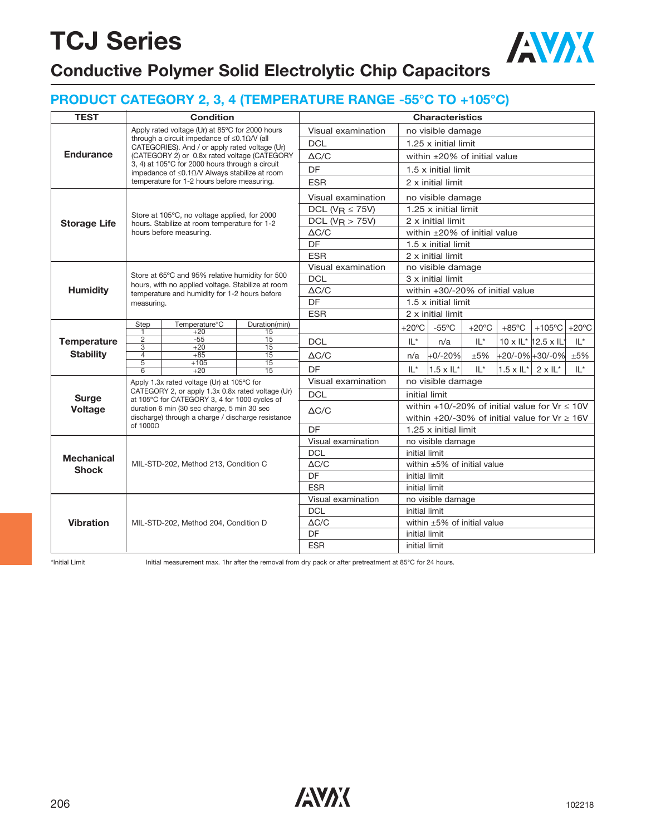### **PRODUCT CATEGORY 2, 3, 4 (TEMPERATURE RANGE -55°C TO +105°C)**

**Conductive Polymer Solid Electrolytic Chip Capacitors**

|                     | <b>TEST</b><br><b>Condition</b><br><b>Characteristics</b> |                                                                                                                                                                                                                                                                                                                                                                                                                                                                                                                                                                                                                                                                                                                                                                                                                                                                                         |              |                       |                                                                                                             |                                                   |                 |                 |                     |        |  |
|---------------------|-----------------------------------------------------------|-----------------------------------------------------------------------------------------------------------------------------------------------------------------------------------------------------------------------------------------------------------------------------------------------------------------------------------------------------------------------------------------------------------------------------------------------------------------------------------------------------------------------------------------------------------------------------------------------------------------------------------------------------------------------------------------------------------------------------------------------------------------------------------------------------------------------------------------------------------------------------------------|--------------|-----------------------|-------------------------------------------------------------------------------------------------------------|---------------------------------------------------|-----------------|-----------------|---------------------|--------|--|
|                     |                                                           |                                                                                                                                                                                                                                                                                                                                                                                                                                                                                                                                                                                                                                                                                                                                                                                                                                                                                         |              |                       |                                                                                                             |                                                   |                 |                 |                     |        |  |
|                     |                                                           |                                                                                                                                                                                                                                                                                                                                                                                                                                                                                                                                                                                                                                                                                                                                                                                                                                                                                         |              | Visual examination    |                                                                                                             | no visible damage                                 |                 |                 |                     |        |  |
|                     |                                                           | Apply rated voltage (Ur) at 85°C for 2000 hours<br>through a circuit impedance of $\leq 0.10$ /V (all<br>CATEGORIES). And / or apply rated voltage (Ur)<br>3, 4) at 105°C for 2000 hours through a circuit<br>impedance of $\leq$ 0.10/V Always stabilize at room<br>temperature for 1-2 hours before measuring.<br>Store at 105°C, no voltage applied, for 2000<br>hours. Stabilize at room temperature for 1-2<br>hours before measuring.<br>Store at 65°C and 95% relative humidity for 500<br>temperature and humidity for 1-2 hours before<br>measuring.<br>Temperature°C<br><b>Step</b><br>$+20$<br>15<br>-1<br>$\overline{2}$<br>$-55$<br>$\overline{15}$<br>$\overline{3}$<br>$+20$<br>15<br>15<br>4<br>$+85$<br>$\overline{5}$<br>$+105$<br>15<br>$\overline{15}$<br>6<br>$+20$<br>Apply 1.3x rated voltage (Ur) at 105°C for<br>at 105°C for CATEGORY 3, 4 for 1000 cycles of |              | <b>DCL</b>            |                                                                                                             | 1.25 x initial limit                              |                 |                 |                     |        |  |
| <b>Endurance</b>    |                                                           | (CATEGORY 2) or 0.8x rated voltage (CATEGORY<br>hours, with no applied voltage. Stabilize at room<br>Duration(min)<br>CATEGORY 2, or apply 1.3x 0.8x rated voltage (Ur)<br>duration 6 min (30 sec charge, 5 min 30 sec<br>discharge) through a charge / discharge resistance<br>of $1000\Omega$<br>MIL-STD-202, Method 213, Condition C                                                                                                                                                                                                                                                                                                                                                                                                                                                                                                                                                 | $\Delta C/C$ |                       | within $\pm 20\%$ of initial value                                                                          |                                                   |                 |                 |                     |        |  |
|                     |                                                           |                                                                                                                                                                                                                                                                                                                                                                                                                                                                                                                                                                                                                                                                                                                                                                                                                                                                                         |              | DF                    |                                                                                                             | $1.5 \times$ initial limit                        |                 |                 |                     |        |  |
|                     |                                                           |                                                                                                                                                                                                                                                                                                                                                                                                                                                                                                                                                                                                                                                                                                                                                                                                                                                                                         |              | <b>ESR</b>            |                                                                                                             | 2 x initial limit                                 |                 |                 |                     |        |  |
|                     |                                                           |                                                                                                                                                                                                                                                                                                                                                                                                                                                                                                                                                                                                                                                                                                                                                                                                                                                                                         |              | Visual examination    |                                                                                                             | no visible damage                                 |                 |                 |                     |        |  |
|                     |                                                           |                                                                                                                                                                                                                                                                                                                                                                                                                                                                                                                                                                                                                                                                                                                                                                                                                                                                                         |              | DCL ( $V_R \le 75V$ ) |                                                                                                             | 1.25 x initial limit                              |                 |                 |                     |        |  |
| <b>Storage Life</b> |                                                           |                                                                                                                                                                                                                                                                                                                                                                                                                                                                                                                                                                                                                                                                                                                                                                                                                                                                                         |              | DCL ( $V_R > 75V$ )   |                                                                                                             | 2 x initial limit                                 |                 |                 |                     |        |  |
|                     |                                                           |                                                                                                                                                                                                                                                                                                                                                                                                                                                                                                                                                                                                                                                                                                                                                                                                                                                                                         |              | $\Delta C/C$          |                                                                                                             | within $\pm 20\%$ of initial value                |                 |                 |                     |        |  |
|                     |                                                           |                                                                                                                                                                                                                                                                                                                                                                                                                                                                                                                                                                                                                                                                                                                                                                                                                                                                                         |              | DF                    |                                                                                                             | 1.5 x initial limit                               |                 |                 |                     |        |  |
|                     |                                                           |                                                                                                                                                                                                                                                                                                                                                                                                                                                                                                                                                                                                                                                                                                                                                                                                                                                                                         |              | <b>ESR</b>            |                                                                                                             | 2 x initial limit                                 |                 |                 |                     |        |  |
|                     |                                                           |                                                                                                                                                                                                                                                                                                                                                                                                                                                                                                                                                                                                                                                                                                                                                                                                                                                                                         |              | Visual examination    |                                                                                                             | no visible damage                                 |                 |                 |                     |        |  |
|                     |                                                           |                                                                                                                                                                                                                                                                                                                                                                                                                                                                                                                                                                                                                                                                                                                                                                                                                                                                                         |              | <b>DCL</b>            |                                                                                                             | 3 x initial limit                                 |                 |                 |                     |        |  |
| <b>Humidity</b>     |                                                           |                                                                                                                                                                                                                                                                                                                                                                                                                                                                                                                                                                                                                                                                                                                                                                                                                                                                                         |              | $\Delta C/C$          |                                                                                                             | within +30/-20% of initial value                  |                 |                 |                     |        |  |
|                     |                                                           |                                                                                                                                                                                                                                                                                                                                                                                                                                                                                                                                                                                                                                                                                                                                                                                                                                                                                         |              | DF                    |                                                                                                             | $1.5 \times$ initial limit                        |                 |                 |                     |        |  |
|                     |                                                           |                                                                                                                                                                                                                                                                                                                                                                                                                                                                                                                                                                                                                                                                                                                                                                                                                                                                                         |              | <b>ESR</b>            |                                                                                                             | 2 x initial limit                                 |                 |                 |                     |        |  |
|                     |                                                           |                                                                                                                                                                                                                                                                                                                                                                                                                                                                                                                                                                                                                                                                                                                                                                                                                                                                                         |              |                       | $+20^{\circ}$ C                                                                                             | $-55^{\circ}$ C                                   | $+20^{\circ}$ C | $+85^{\circ}$ C | +105°C +20°C        |        |  |
| <b>Temperature</b>  |                                                           |                                                                                                                                                                                                                                                                                                                                                                                                                                                                                                                                                                                                                                                                                                                                                                                                                                                                                         |              | <b>DCL</b>            | $IL^*$<br>$IL^*$<br>10 x $ L^* $ 12.5 x $ L^* $<br>$IL^*$<br>n/a                                            |                                                   |                 |                 |                     |        |  |
| <b>Stability</b>    |                                                           |                                                                                                                                                                                                                                                                                                                                                                                                                                                                                                                                                                                                                                                                                                                                                                                                                                                                                         |              | $\Delta C/C$          | n/a                                                                                                         | $+0/-20%$                                         | ±5%             |                 | +20/-0% +30/-0% ±5% |        |  |
|                     |                                                           |                                                                                                                                                                                                                                                                                                                                                                                                                                                                                                                                                                                                                                                                                                                                                                                                                                                                                         |              | DF                    | $1.5 \times \mathsf{IL}^*$<br>$1.5 \times \lvert L^* \rvert 2 \times \lvert L^* \rvert$<br>$IL^*$<br>$IL^*$ |                                                   |                 |                 |                     | $IL^*$ |  |
|                     |                                                           |                                                                                                                                                                                                                                                                                                                                                                                                                                                                                                                                                                                                                                                                                                                                                                                                                                                                                         |              | Visual examination    |                                                                                                             | no visible damage                                 |                 |                 |                     |        |  |
|                     |                                                           |                                                                                                                                                                                                                                                                                                                                                                                                                                                                                                                                                                                                                                                                                                                                                                                                                                                                                         |              | <b>DCL</b>            |                                                                                                             | initial limit                                     |                 |                 |                     |        |  |
| <b>Surge</b>        |                                                           |                                                                                                                                                                                                                                                                                                                                                                                                                                                                                                                                                                                                                                                                                                                                                                                                                                                                                         |              |                       |                                                                                                             | within +10/-20% of initial value for $Vr \le 10V$ |                 |                 |                     |        |  |
| <b>Voltage</b>      |                                                           |                                                                                                                                                                                                                                                                                                                                                                                                                                                                                                                                                                                                                                                                                                                                                                                                                                                                                         |              | $\Delta C/C$          |                                                                                                             | within +20/-30% of initial value for $Vr \ge 16V$ |                 |                 |                     |        |  |
|                     |                                                           |                                                                                                                                                                                                                                                                                                                                                                                                                                                                                                                                                                                                                                                                                                                                                                                                                                                                                         |              | DF                    |                                                                                                             | 1.25 x initial limit                              |                 |                 |                     |        |  |
|                     |                                                           |                                                                                                                                                                                                                                                                                                                                                                                                                                                                                                                                                                                                                                                                                                                                                                                                                                                                                         |              | Visual examination    |                                                                                                             | no visible damage                                 |                 |                 |                     |        |  |
| <b>Mechanical</b>   |                                                           |                                                                                                                                                                                                                                                                                                                                                                                                                                                                                                                                                                                                                                                                                                                                                                                                                                                                                         |              | <b>DCL</b>            | initial limit                                                                                               |                                                   |                 |                 |                     |        |  |
| <b>Shock</b>        |                                                           |                                                                                                                                                                                                                                                                                                                                                                                                                                                                                                                                                                                                                                                                                                                                                                                                                                                                                         |              | $\triangle C/C$       |                                                                                                             | within $\pm 5\%$ of initial value                 |                 |                 |                     |        |  |
|                     |                                                           |                                                                                                                                                                                                                                                                                                                                                                                                                                                                                                                                                                                                                                                                                                                                                                                                                                                                                         |              | DF                    | initial limit                                                                                               |                                                   |                 |                 |                     |        |  |
|                     |                                                           |                                                                                                                                                                                                                                                                                                                                                                                                                                                                                                                                                                                                                                                                                                                                                                                                                                                                                         |              | <b>ESR</b>            | initial limit                                                                                               |                                                   |                 |                 |                     |        |  |
|                     |                                                           |                                                                                                                                                                                                                                                                                                                                                                                                                                                                                                                                                                                                                                                                                                                                                                                                                                                                                         |              | Visual examination    |                                                                                                             | no visible damage                                 |                 |                 |                     |        |  |
|                     |                                                           |                                                                                                                                                                                                                                                                                                                                                                                                                                                                                                                                                                                                                                                                                                                                                                                                                                                                                         |              | <b>DCL</b>            | initial limit                                                                                               |                                                   |                 |                 |                     |        |  |
| <b>Vibration</b>    |                                                           | MIL-STD-202, Method 204, Condition D                                                                                                                                                                                                                                                                                                                                                                                                                                                                                                                                                                                                                                                                                                                                                                                                                                                    |              | $\Delta C/C$          |                                                                                                             | within $\pm 5\%$ of initial value                 |                 |                 |                     |        |  |
|                     |                                                           |                                                                                                                                                                                                                                                                                                                                                                                                                                                                                                                                                                                                                                                                                                                                                                                                                                                                                         |              | DF                    | initial limit                                                                                               |                                                   |                 |                 |                     |        |  |
|                     |                                                           |                                                                                                                                                                                                                                                                                                                                                                                                                                                                                                                                                                                                                                                                                                                                                                                                                                                                                         |              | <b>ESR</b>            | initial limit                                                                                               |                                                   |                 |                 |                     |        |  |

\*Initial Limit Initial measurement max. 1hr after the removal from dry pack or after pretreatment at 85°C for 24 hours.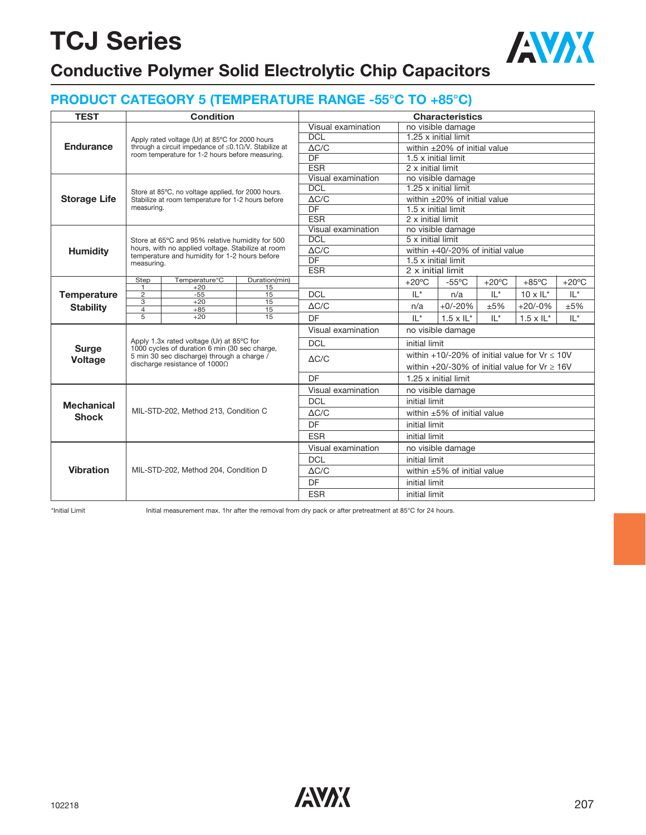

### **Conductive Polymer Solid Electrolytic Chip Capacitors**

### **PRODUCT CATEGORY 5 (TEMPERATURE RANGE -55°C TO +85°C)**

| <b>TEST</b>         |                                                                                                                                                                                                                                                                                                                                                                                                                                                                                                                                                                                                                                                                                                                                                                                                                                                                                                                 | <b>Condition</b>                     |                    | <b>Characteristics</b> |                                                            |                                    |                 |                                                        |                 |  |  |  |
|---------------------|-----------------------------------------------------------------------------------------------------------------------------------------------------------------------------------------------------------------------------------------------------------------------------------------------------------------------------------------------------------------------------------------------------------------------------------------------------------------------------------------------------------------------------------------------------------------------------------------------------------------------------------------------------------------------------------------------------------------------------------------------------------------------------------------------------------------------------------------------------------------------------------------------------------------|--------------------------------------|--------------------|------------------------|------------------------------------------------------------|------------------------------------|-----------------|--------------------------------------------------------|-----------------|--|--|--|
|                     |                                                                                                                                                                                                                                                                                                                                                                                                                                                                                                                                                                                                                                                                                                                                                                                                                                                                                                                 |                                      |                    | Visual examination     |                                                            | no visible damage                  |                 |                                                        |                 |  |  |  |
|                     | Apply rated voltage (Ur) at 85°C for 2000 hours<br>through a circuit impedance of $\leq 0.1 \Omega / V$ . Stabilize at<br>room temperature for 1-2 hours before measuring.<br>Store at 85°C, no voltage applied, for 2000 hours.<br>Stabilize at room temperature for 1-2 hours before<br>measuring.<br>Store at 65°C and 95% relative humidity for 500<br>hours, with no applied voltage. Stabilize at room<br>temperature and humidity for 1-2 hours before<br>measuring.<br>Temperature <sup>°</sup> C<br>Step<br>Duration(min)<br>$\mathbf{1}$<br>$+20$<br>15<br>$\overline{2}$<br>15<br>$-55$<br>3<br>$+20$<br>15<br>$\overline{4}$<br>15<br>$+85$<br>$\overline{5}$<br>$+20$<br>15<br>Apply 1.3x rated voltage (Ur) at 85°C for<br>1000 cycles of duration 6 min (30 sec charge,<br>5 min 30 sec discharge) through a charge /<br>discharge resistance of $10000$<br>MIL-STD-202, Method 213, Condition C | <b>DCL</b>                           |                    | 1.25 x initial limit   |                                                            |                                    |                 |                                                        |                 |  |  |  |
| <b>Endurance</b>    |                                                                                                                                                                                                                                                                                                                                                                                                                                                                                                                                                                                                                                                                                                                                                                                                                                                                                                                 |                                      | $\Delta C/C$       |                        | within $\pm 20\%$ of initial value                         |                                    |                 |                                                        |                 |  |  |  |
|                     |                                                                                                                                                                                                                                                                                                                                                                                                                                                                                                                                                                                                                                                                                                                                                                                                                                                                                                                 |                                      |                    | $\overline{DF}$        | 1.5 x initial limit                                        |                                    |                 |                                                        |                 |  |  |  |
|                     |                                                                                                                                                                                                                                                                                                                                                                                                                                                                                                                                                                                                                                                                                                                                                                                                                                                                                                                 |                                      |                    | <b>ESR</b>             | 2 x initial limit                                          |                                    |                 |                                                        |                 |  |  |  |
|                     |                                                                                                                                                                                                                                                                                                                                                                                                                                                                                                                                                                                                                                                                                                                                                                                                                                                                                                                 |                                      |                    | Visual examination     |                                                            | no visible damage                  |                 |                                                        |                 |  |  |  |
|                     |                                                                                                                                                                                                                                                                                                                                                                                                                                                                                                                                                                                                                                                                                                                                                                                                                                                                                                                 |                                      |                    | <b>DCL</b>             |                                                            | 1.25 x initial limit               |                 |                                                        |                 |  |  |  |
| <b>Storage Life</b> |                                                                                                                                                                                                                                                                                                                                                                                                                                                                                                                                                                                                                                                                                                                                                                                                                                                                                                                 |                                      |                    | $\Delta C/C$           |                                                            | within $\pm 20\%$ of initial value |                 |                                                        |                 |  |  |  |
|                     |                                                                                                                                                                                                                                                                                                                                                                                                                                                                                                                                                                                                                                                                                                                                                                                                                                                                                                                 |                                      |                    | DF                     | 1.5 x initial limit                                        |                                    |                 |                                                        |                 |  |  |  |
|                     |                                                                                                                                                                                                                                                                                                                                                                                                                                                                                                                                                                                                                                                                                                                                                                                                                                                                                                                 |                                      |                    | <b>ESR</b>             | 2 x initial limit                                          |                                    |                 |                                                        |                 |  |  |  |
|                     |                                                                                                                                                                                                                                                                                                                                                                                                                                                                                                                                                                                                                                                                                                                                                                                                                                                                                                                 |                                      |                    | Visual examination     |                                                            | no visible damage                  |                 |                                                        |                 |  |  |  |
|                     |                                                                                                                                                                                                                                                                                                                                                                                                                                                                                                                                                                                                                                                                                                                                                                                                                                                                                                                 |                                      |                    | <b>DCL</b>             | 5 x initial limit                                          |                                    |                 |                                                        |                 |  |  |  |
| <b>Humidity</b>     |                                                                                                                                                                                                                                                                                                                                                                                                                                                                                                                                                                                                                                                                                                                                                                                                                                                                                                                 | MIL-STD-202, Method 204, Condition D | $\Delta C/C$       |                        | within +40/-20% of initial value                           |                                    |                 |                                                        |                 |  |  |  |
|                     |                                                                                                                                                                                                                                                                                                                                                                                                                                                                                                                                                                                                                                                                                                                                                                                                                                                                                                                 |                                      | $\overline{DF}$    |                        | 1.5 x initial limit                                        |                                    |                 |                                                        |                 |  |  |  |
|                     |                                                                                                                                                                                                                                                                                                                                                                                                                                                                                                                                                                                                                                                                                                                                                                                                                                                                                                                 |                                      |                    | <b>ESR</b>             | 2 x initial limit                                          |                                    |                 |                                                        |                 |  |  |  |
|                     |                                                                                                                                                                                                                                                                                                                                                                                                                                                                                                                                                                                                                                                                                                                                                                                                                                                                                                                 |                                      |                    |                        | $+20^{\circ}$ C                                            | $-55^{\circ}$ C                    | $+20^{\circ}$ C | $+85^{\circ}$ C                                        | $+20^{\circ}$ C |  |  |  |
| <b>Temperature</b>  |                                                                                                                                                                                                                                                                                                                                                                                                                                                                                                                                                                                                                                                                                                                                                                                                                                                                                                                 |                                      |                    | <b>DCL</b>             | $IL^*$                                                     | n/a                                | $IL^*$          | $10 \times I L^*$                                      | $IL^*$          |  |  |  |
| <b>Stability</b>    |                                                                                                                                                                                                                                                                                                                                                                                                                                                                                                                                                                                                                                                                                                                                                                                                                                                                                                                 |                                      |                    | $\triangle C/C$        | n/a                                                        | $+0/-20%$                          | ±5%             | $+20/-0%$                                              | ±5%             |  |  |  |
|                     |                                                                                                                                                                                                                                                                                                                                                                                                                                                                                                                                                                                                                                                                                                                                                                                                                                                                                                                 |                                      | DF                 | $   *$                 | $IL^*$<br>$1.5 \times I L^*$<br>$1.5 \times \mathsf{IL}^*$ |                                    |                 |                                                        |                 |  |  |  |
|                     |                                                                                                                                                                                                                                                                                                                                                                                                                                                                                                                                                                                                                                                                                                                                                                                                                                                                                                                 |                                      | Visual examination |                        | no visible damage                                          |                                    |                 |                                                        |                 |  |  |  |
|                     |                                                                                                                                                                                                                                                                                                                                                                                                                                                                                                                                                                                                                                                                                                                                                                                                                                                                                                                 |                                      |                    | <b>DCL</b>             | initial limit                                              |                                    |                 |                                                        |                 |  |  |  |
| <b>Surge</b>        |                                                                                                                                                                                                                                                                                                                                                                                                                                                                                                                                                                                                                                                                                                                                                                                                                                                                                                                 |                                      |                    |                        |                                                            |                                    |                 | within $+10/-20\%$ of initial value for Vr $\leq 10$ V |                 |  |  |  |
| <b>Voltage</b>      |                                                                                                                                                                                                                                                                                                                                                                                                                                                                                                                                                                                                                                                                                                                                                                                                                                                                                                                 |                                      |                    | $\triangle C/C$        |                                                            |                                    |                 | within +20/-30% of initial value for $Vr \ge 16V$      |                 |  |  |  |
|                     |                                                                                                                                                                                                                                                                                                                                                                                                                                                                                                                                                                                                                                                                                                                                                                                                                                                                                                                 |                                      |                    | DF                     |                                                            | 1.25 x initial limit               |                 |                                                        |                 |  |  |  |
|                     |                                                                                                                                                                                                                                                                                                                                                                                                                                                                                                                                                                                                                                                                                                                                                                                                                                                                                                                 |                                      |                    | Visual examination     |                                                            | no visible damage                  |                 |                                                        |                 |  |  |  |
|                     |                                                                                                                                                                                                                                                                                                                                                                                                                                                                                                                                                                                                                                                                                                                                                                                                                                                                                                                 |                                      |                    | <b>DCL</b>             | initial limit                                              |                                    |                 |                                                        |                 |  |  |  |
|                     |                                                                                                                                                                                                                                                                                                                                                                                                                                                                                                                                                                                                                                                                                                                                                                                                                                                                                                                 |                                      |                    | $\Delta C/C$           |                                                            | within $\pm 5\%$ of initial value  |                 |                                                        |                 |  |  |  |
|                     | <b>Mechanical</b><br><b>Shock</b>                                                                                                                                                                                                                                                                                                                                                                                                                                                                                                                                                                                                                                                                                                                                                                                                                                                                               |                                      |                    | DF                     | initial limit                                              |                                    |                 |                                                        |                 |  |  |  |
|                     |                                                                                                                                                                                                                                                                                                                                                                                                                                                                                                                                                                                                                                                                                                                                                                                                                                                                                                                 |                                      |                    | <b>ESR</b>             | initial limit                                              |                                    |                 |                                                        |                 |  |  |  |
|                     |                                                                                                                                                                                                                                                                                                                                                                                                                                                                                                                                                                                                                                                                                                                                                                                                                                                                                                                 |                                      |                    | Visual examination     |                                                            | no visible damage                  |                 |                                                        |                 |  |  |  |
|                     |                                                                                                                                                                                                                                                                                                                                                                                                                                                                                                                                                                                                                                                                                                                                                                                                                                                                                                                 |                                      |                    | <b>DCL</b>             | initial limit                                              |                                    |                 |                                                        |                 |  |  |  |
| <b>Vibration</b>    |                                                                                                                                                                                                                                                                                                                                                                                                                                                                                                                                                                                                                                                                                                                                                                                                                                                                                                                 |                                      |                    | $\triangle C/C$        |                                                            | within $\pm 5\%$ of initial value  |                 |                                                        |                 |  |  |  |
|                     |                                                                                                                                                                                                                                                                                                                                                                                                                                                                                                                                                                                                                                                                                                                                                                                                                                                                                                                 |                                      |                    | DF                     | initial limit                                              |                                    |                 |                                                        |                 |  |  |  |
|                     |                                                                                                                                                                                                                                                                                                                                                                                                                                                                                                                                                                                                                                                                                                                                                                                                                                                                                                                 |                                      |                    | <b>ESR</b>             | initial limit                                              |                                    |                 |                                                        |                 |  |  |  |

\*Initial Limit Initial measurement max. 1hr after the removal from dry pack or after pretreatment at 85°C for 24 hours.

 $102218$  207